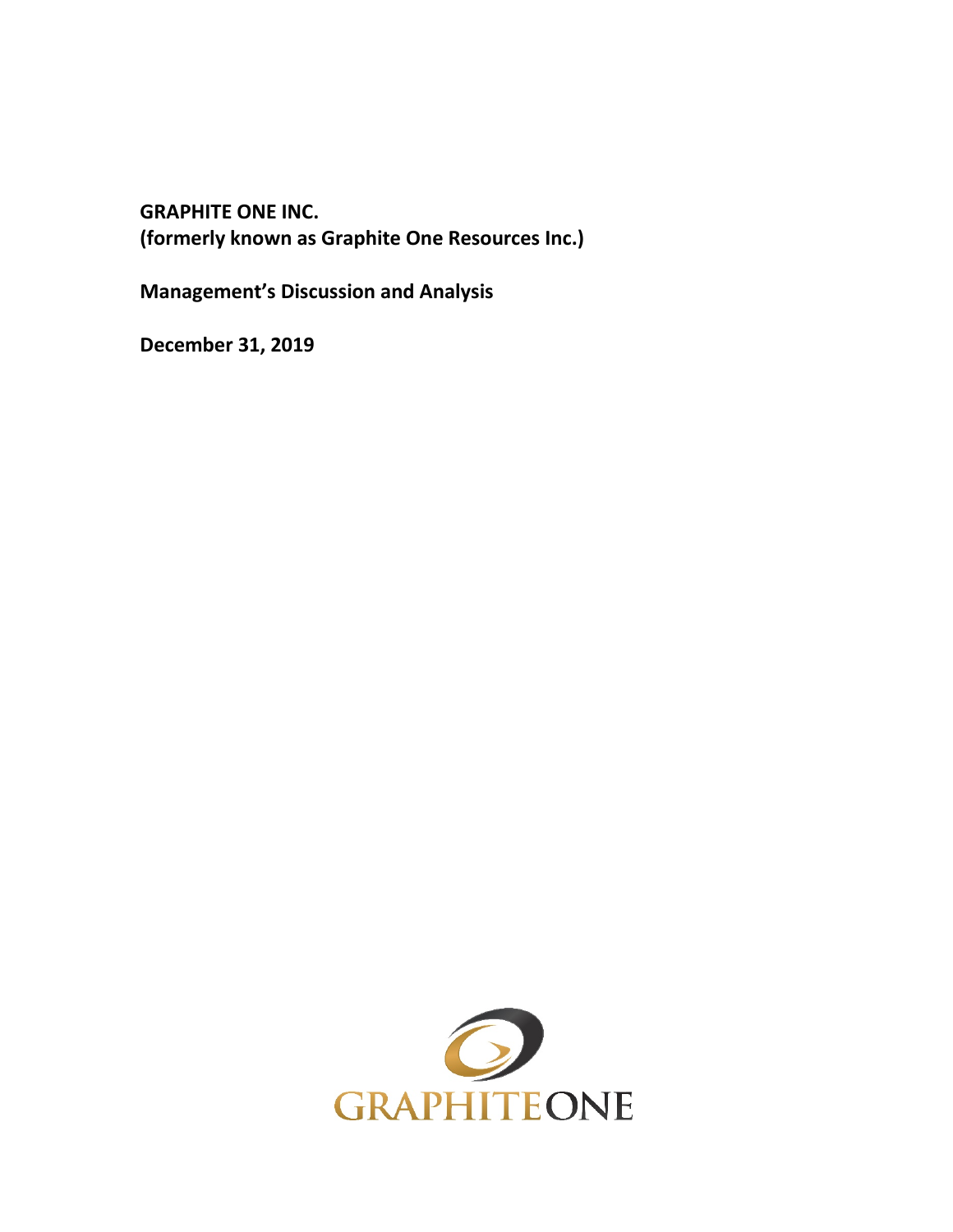**GRAPHITE ONE INC. (formerly known as Graphite One Resources Inc.)**

**Management's Discussion and Analysis**

**December 31, 2019**

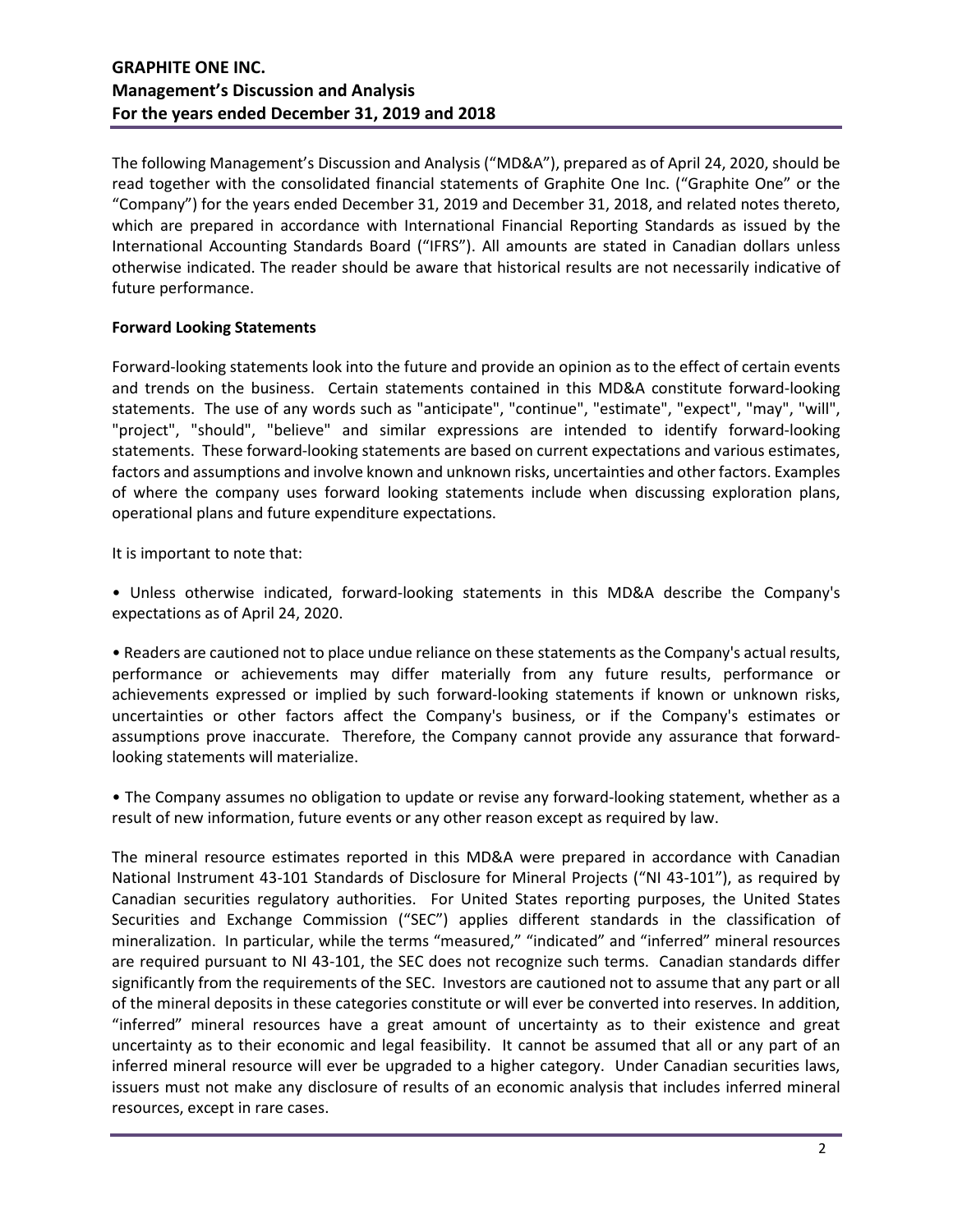The following Management's Discussion and Analysis ("MD&A"), prepared as of April 24, 2020, should be read together with the consolidated financial statements of Graphite One Inc. ("Graphite One" or the "Company") for the years ended December 31, 2019 and December 31, 2018, and related notes thereto, which are prepared in accordance with International Financial Reporting Standards as issued by the International Accounting Standards Board ("IFRS"). All amounts are stated in Canadian dollars unless otherwise indicated. The reader should be aware that historical results are not necessarily indicative of future performance.

## **Forward Looking Statements**

Forward-looking statements look into the future and provide an opinion as to the effect of certain events and trends on the business. Certain statements contained in this MD&A constitute forward-looking statements. The use of any words such as "anticipate", "continue", "estimate", "expect", "may", "will", "project", "should", "believe" and similar expressions are intended to identify forward-looking statements. These forward-looking statements are based on current expectations and various estimates, factors and assumptions and involve known and unknown risks, uncertainties and other factors. Examples of where the company uses forward looking statements include when discussing exploration plans, operational plans and future expenditure expectations.

It is important to note that:

• Unless otherwise indicated, forward-looking statements in this MD&A describe the Company's expectations as of April 24, 2020.

• Readers are cautioned not to place undue reliance on these statements as the Company's actual results, performance or achievements may differ materially from any future results, performance or achievements expressed or implied by such forward-looking statements if known or unknown risks, uncertainties or other factors affect the Company's business, or if the Company's estimates or assumptions prove inaccurate. Therefore, the Company cannot provide any assurance that forwardlooking statements will materialize.

• The Company assumes no obligation to update or revise any forward-looking statement, whether as a result of new information, future events or any other reason except as required by law.

The mineral resource estimates reported in this MD&A were prepared in accordance with Canadian National Instrument 43-101 Standards of Disclosure for Mineral Projects ("NI 43-101"), as required by Canadian securities regulatory authorities. For United States reporting purposes, the United States Securities and Exchange Commission ("SEC") applies different standards in the classification of mineralization. In particular, while the terms "measured," "indicated" and "inferred" mineral resources are required pursuant to NI 43-101, the SEC does not recognize such terms. Canadian standards differ significantly from the requirements of the SEC. Investors are cautioned not to assume that any part or all of the mineral deposits in these categories constitute or will ever be converted into reserves. In addition, "inferred" mineral resources have a great amount of uncertainty as to their existence and great uncertainty as to their economic and legal feasibility. It cannot be assumed that all or any part of an inferred mineral resource will ever be upgraded to a higher category. Under Canadian securities laws, issuers must not make any disclosure of results of an economic analysis that includes inferred mineral resources, except in rare cases.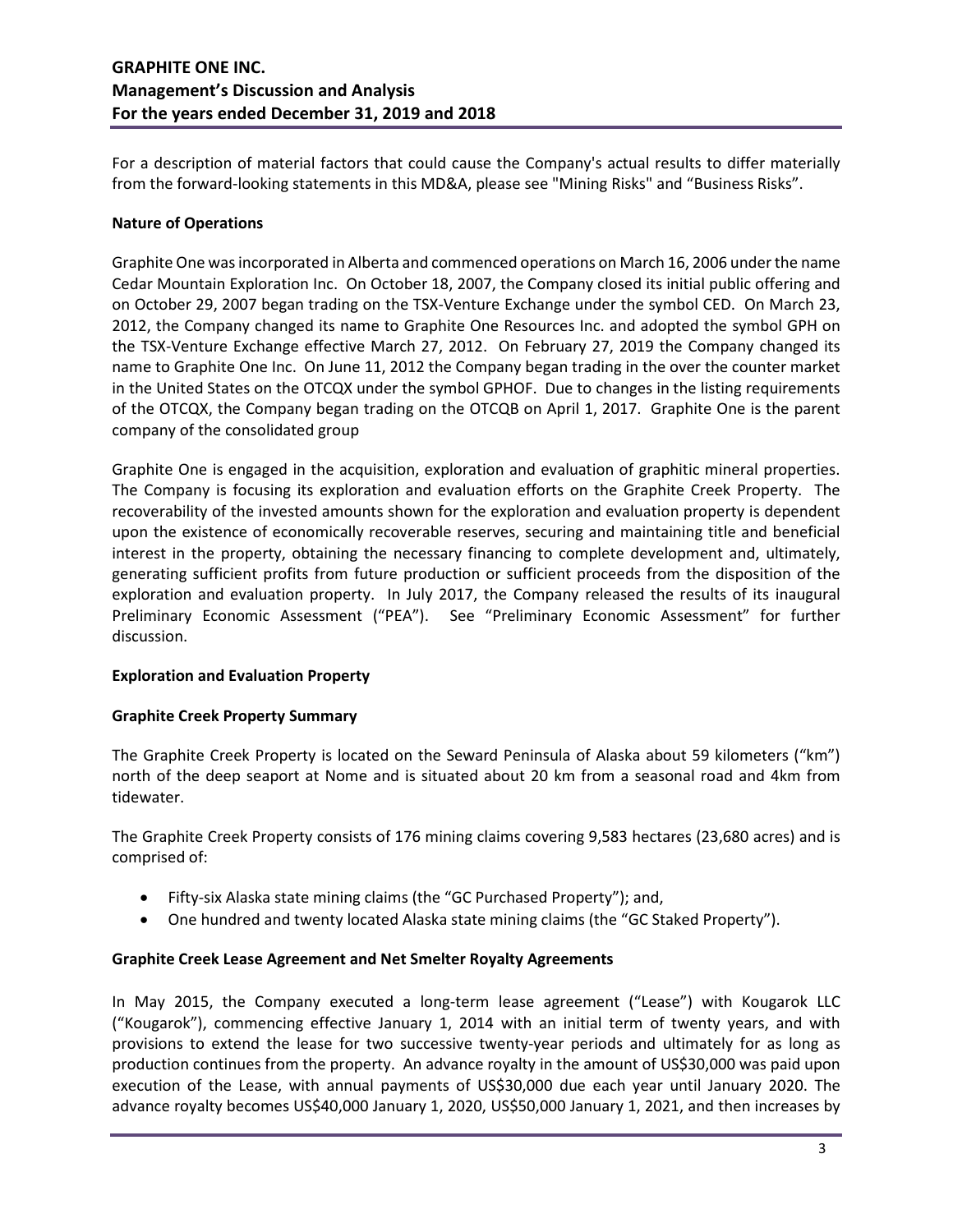For a description of material factors that could cause the Company's actual results to differ materially from the forward-looking statements in this MD&A, please see "Mining Risks" and "Business Risks".

## **Nature of Operations**

Graphite One was incorporated in Alberta and commenced operations on March 16, 2006 under the name Cedar Mountain Exploration Inc. On October 18, 2007, the Company closed its initial public offering and on October 29, 2007 began trading on the TSX-Venture Exchange under the symbol CED. On March 23, 2012, the Company changed its name to Graphite One Resources Inc. and adopted the symbol GPH on the TSX-Venture Exchange effective March 27, 2012. On February 27, 2019 the Company changed its name to Graphite One Inc. On June 11, 2012 the Company began trading in the over the counter market in the United States on the OTCQX under the symbol GPHOF. Due to changes in the listing requirements of the OTCQX, the Company began trading on the OTCQB on April 1, 2017. Graphite One is the parent company of the consolidated group

Graphite One is engaged in the acquisition, exploration and evaluation of graphitic mineral properties. The Company is focusing its exploration and evaluation efforts on the Graphite Creek Property. The recoverability of the invested amounts shown for the exploration and evaluation property is dependent upon the existence of economically recoverable reserves, securing and maintaining title and beneficial interest in the property, obtaining the necessary financing to complete development and, ultimately, generating sufficient profits from future production or sufficient proceeds from the disposition of the exploration and evaluation property. In July 2017, the Company released the results of its inaugural Preliminary Economic Assessment ("PEA"). See "Preliminary Economic Assessment" for further discussion.

## **Exploration and Evaluation Property**

## **Graphite Creek Property Summary**

The Graphite Creek Property is located on the Seward Peninsula of Alaska about 59 kilometers ("km") north of the deep seaport at Nome and is situated about 20 km from a seasonal road and 4km from tidewater.

The Graphite Creek Property consists of 176 mining claims covering 9,583 hectares (23,680 acres) and is comprised of:

- Fifty-six Alaska state mining claims (the "GC Purchased Property"); and,
- One hundred and twenty located Alaska state mining claims (the "GC Staked Property").

## **Graphite Creek Lease Agreement and Net Smelter Royalty Agreements**

In May 2015, the Company executed a long-term lease agreement ("Lease") with Kougarok LLC ("Kougarok"), commencing effective January 1, 2014 with an initial term of twenty years, and with provisions to extend the lease for two successive twenty-year periods and ultimately for as long as production continues from the property. An advance royalty in the amount of US\$30,000 was paid upon execution of the Lease, with annual payments of US\$30,000 due each year until January 2020. The advance royalty becomes US\$40,000 January 1, 2020, US\$50,000 January 1, 2021, and then increases by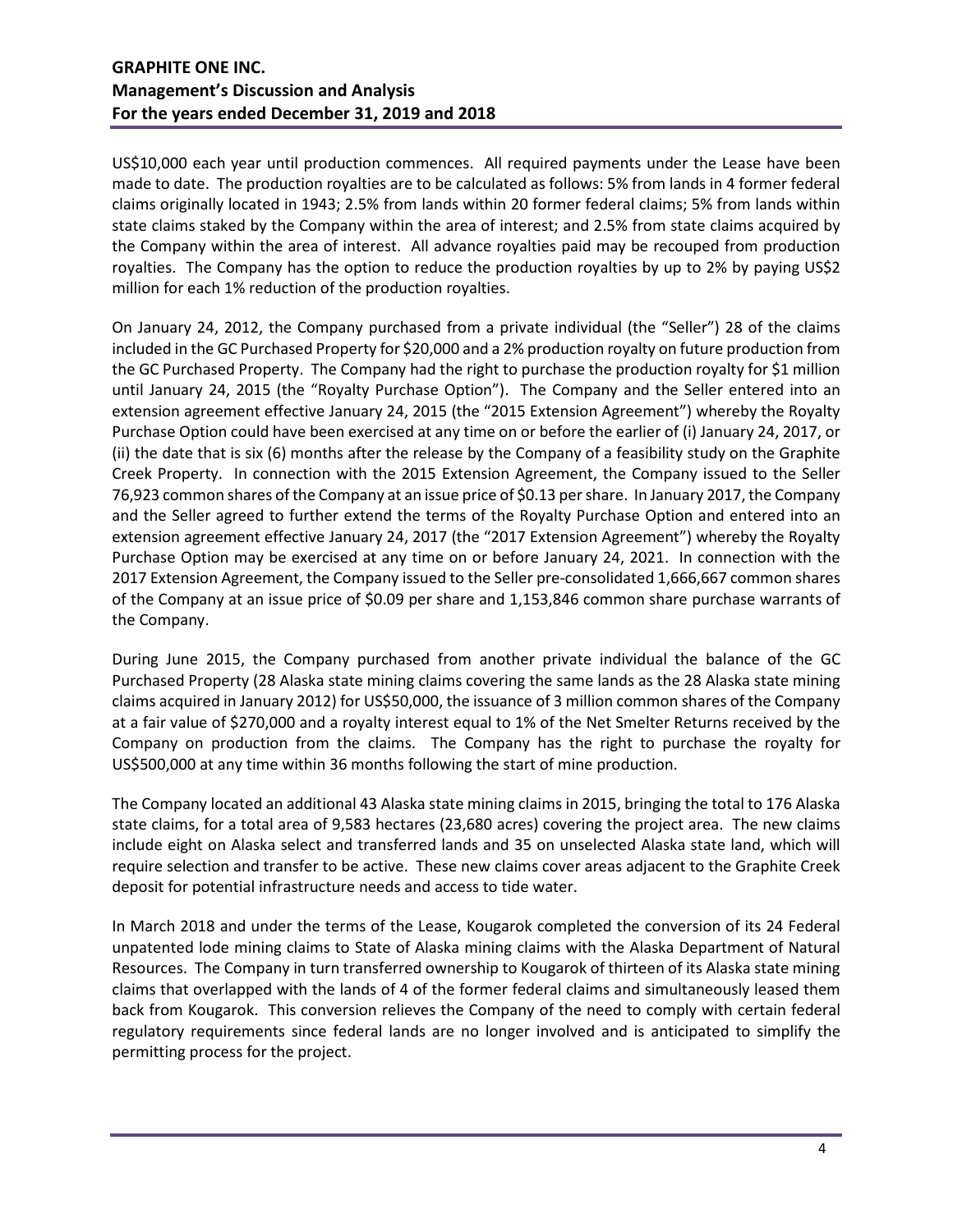US\$10,000 each year until production commences. All required payments under the Lease have been made to date. The production royalties are to be calculated as follows: 5% from lands in 4 former federal claims originally located in 1943; 2.5% from lands within 20 former federal claims; 5% from lands within state claims staked by the Company within the area of interest; and 2.5% from state claims acquired by the Company within the area of interest. All advance royalties paid may be recouped from production royalties. The Company has the option to reduce the production royalties by up to 2% by paying US\$2 million for each 1% reduction of the production royalties.

On January 24, 2012, the Company purchased from a private individual (the "Seller") 28 of the claims included in the GC Purchased Property for \$20,000 and a 2% production royalty on future production from the GC Purchased Property. The Company had the right to purchase the production royalty for \$1 million until January 24, 2015 (the "Royalty Purchase Option"). The Company and the Seller entered into an extension agreement effective January 24, 2015 (the "2015 Extension Agreement") whereby the Royalty Purchase Option could have been exercised at any time on or before the earlier of (i) January 24, 2017, or (ii) the date that is six (6) months after the release by the Company of a feasibility study on the Graphite Creek Property. In connection with the 2015 Extension Agreement, the Company issued to the Seller 76,923 common shares of the Company at an issue price of \$0.13 per share. In January 2017, the Company and the Seller agreed to further extend the terms of the Royalty Purchase Option and entered into an extension agreement effective January 24, 2017 (the "2017 Extension Agreement") whereby the Royalty Purchase Option may be exercised at any time on or before January 24, 2021. In connection with the 2017 Extension Agreement, the Company issued to the Seller pre-consolidated 1,666,667 common shares of the Company at an issue price of \$0.09 per share and 1,153,846 common share purchase warrants of the Company.

During June 2015, the Company purchased from another private individual the balance of the GC Purchased Property (28 Alaska state mining claims covering the same lands as the 28 Alaska state mining claims acquired in January 2012) for US\$50,000, the issuance of 3 million common shares of the Company at a fair value of \$270,000 and a royalty interest equal to 1% of the Net Smelter Returns received by the Company on production from the claims. The Company has the right to purchase the royalty for US\$500,000 at any time within 36 months following the start of mine production.

The Company located an additional 43 Alaska state mining claims in 2015, bringing the total to 176 Alaska state claims, for a total area of 9,583 hectares (23,680 acres) covering the project area. The new claims include eight on Alaska select and transferred lands and 35 on unselected Alaska state land, which will require selection and transfer to be active. These new claims cover areas adjacent to the Graphite Creek deposit for potential infrastructure needs and access to tide water.

In March 2018 and under the terms of the Lease, Kougarok completed the conversion of its 24 Federal unpatented lode mining claims to State of Alaska mining claims with the Alaska Department of Natural Resources. The Company in turn transferred ownership to Kougarok of thirteen of its Alaska state mining claims that overlapped with the lands of 4 of the former federal claims and simultaneously leased them back from Kougarok. This conversion relieves the Company of the need to comply with certain federal regulatory requirements since federal lands are no longer involved and is anticipated to simplify the permitting process for the project.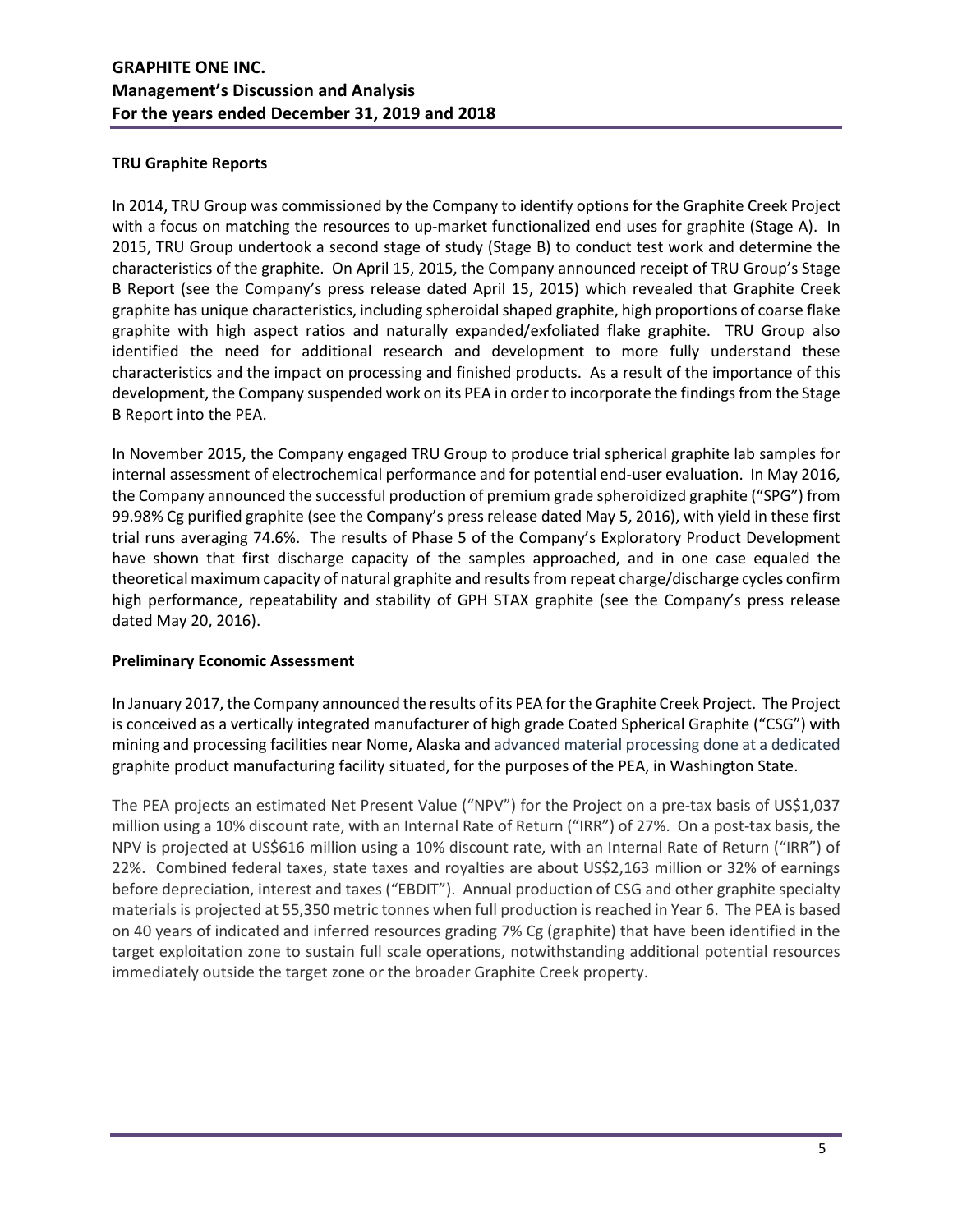## **TRU Graphite Reports**

In 2014, TRU Group was commissioned by the Company to identify options for the Graphite Creek Project with a focus on matching the resources to up-market functionalized end uses for graphite (Stage A). In 2015, TRU Group undertook a second stage of study (Stage B) to conduct test work and determine the characteristics of the graphite. On April 15, 2015, the Company announced receipt of TRU Group's Stage B Report (see the Company's press release dated April 15, 2015) which revealed that Graphite Creek graphite has unique characteristics, including spheroidal shaped graphite, high proportions of coarse flake graphite with high aspect ratios and naturally expanded/exfoliated flake graphite. TRU Group also identified the need for additional research and development to more fully understand these characteristics and the impact on processing and finished products. As a result of the importance of this development, the Company suspended work on its PEA in order to incorporate the findings from the Stage B Report into the PEA.

In November 2015, the Company engaged TRU Group to produce trial spherical graphite lab samples for internal assessment of electrochemical performance and for potential end-user evaluation. In May 2016, the Company announced the successful production of premium grade spheroidized graphite ("SPG") from 99.98% Cg purified graphite (see the Company's press release dated May 5, 2016), with yield in these first trial runs averaging 74.6%. The results of Phase 5 of the Company's Exploratory Product Development have shown that first discharge capacity of the samples approached, and in one case equaled the theoretical maximum capacity of natural graphite and results from repeat charge/discharge cycles confirm high performance, repeatability and stability of GPH STAX graphite (see the Company's press release dated May 20, 2016).

## **Preliminary Economic Assessment**

In January 2017, the Company announced the results of its PEA for the Graphite Creek Project. The Project is conceived as a vertically integrated manufacturer of high grade Coated Spherical Graphite ("CSG") with mining and processing facilities near Nome, Alaska and advanced material processing done at a dedicated graphite product manufacturing facility situated, for the purposes of the PEA, in Washington State.

The PEA projects an estimated Net Present Value ("NPV") for the Project on a pre-tax basis of US\$1,037 million using a 10% discount rate, with an Internal Rate of Return ("IRR") of 27%. On a post-tax basis, the NPV is projected at US\$616 million using a 10% discount rate, with an Internal Rate of Return ("IRR") of 22%. Combined federal taxes, state taxes and royalties are about US\$2,163 million or 32% of earnings before depreciation, interest and taxes ("EBDIT"). Annual production of CSG and other graphite specialty materials is projected at 55,350 metric tonnes when full production is reached in Year 6. The PEA is based on 40 years of indicated and inferred resources grading 7% Cg (graphite) that have been identified in the target exploitation zone to sustain full scale operations, notwithstanding additional potential resources immediately outside the target zone or the broader Graphite Creek property.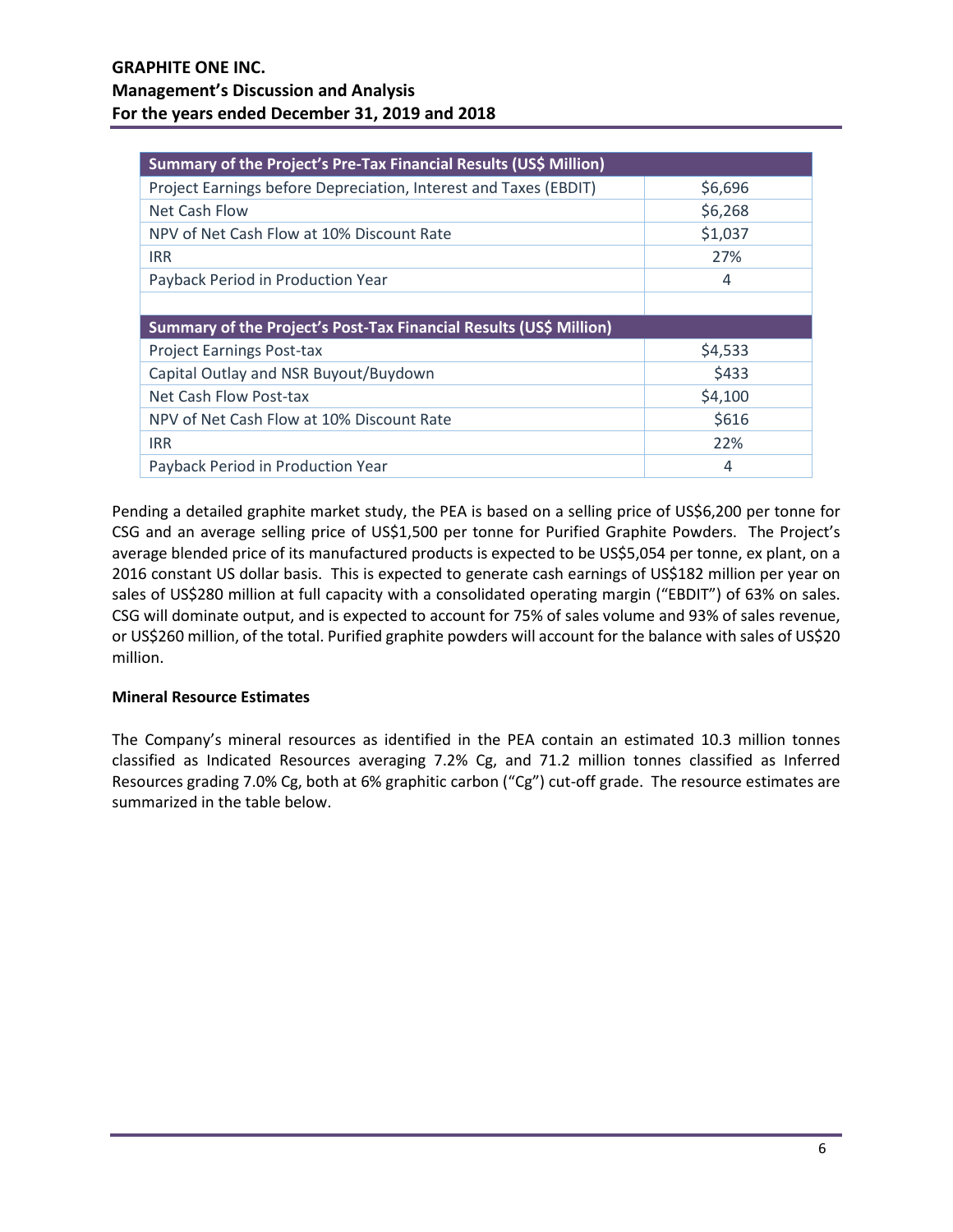| Summary of the Project's Pre-Tax Financial Results (US\$ Million)  |         |  |  |  |  |  |
|--------------------------------------------------------------------|---------|--|--|--|--|--|
| Project Earnings before Depreciation, Interest and Taxes (EBDIT)   | \$6,696 |  |  |  |  |  |
| Net Cash Flow                                                      | \$6,268 |  |  |  |  |  |
| NPV of Net Cash Flow at 10% Discount Rate                          | \$1,037 |  |  |  |  |  |
| <b>IRR</b>                                                         | 27%     |  |  |  |  |  |
| Payback Period in Production Year                                  | 4       |  |  |  |  |  |
|                                                                    |         |  |  |  |  |  |
| Summary of the Project's Post-Tax Financial Results (US\$ Million) |         |  |  |  |  |  |
| <b>Project Earnings Post-tax</b>                                   | \$4,533 |  |  |  |  |  |
| Capital Outlay and NSR Buyout/Buydown                              | \$433   |  |  |  |  |  |
| Net Cash Flow Post-tax                                             | \$4,100 |  |  |  |  |  |
| NPV of Net Cash Flow at 10% Discount Rate                          | \$616   |  |  |  |  |  |
| <b>IRR</b>                                                         | 22%     |  |  |  |  |  |
| Payback Period in Production Year                                  | 4       |  |  |  |  |  |

Pending a detailed graphite market study, the PEA is based on a selling price of US\$6,200 per tonne for CSG and an average selling price of US\$1,500 per tonne for Purified Graphite Powders. The Project's average blended price of its manufactured products is expected to be US\$5,054 per tonne, ex plant, on a 2016 constant US dollar basis. This is expected to generate cash earnings of US\$182 million per year on sales of US\$280 million at full capacity with a consolidated operating margin ("EBDIT") of 63% on sales. CSG will dominate output, and is expected to account for 75% of sales volume and 93% of sales revenue, or US\$260 million, of the total. Purified graphite powders will account for the balance with sales of US\$20 million.

## **Mineral Resource Estimates**

The Company's mineral resources as identified in the PEA contain an estimated 10.3 million tonnes classified as Indicated Resources averaging 7.2% Cg, and 71.2 million tonnes classified as Inferred Resources grading 7.0% Cg, both at 6% graphitic carbon ("Cg") cut-off grade. The resource estimates are summarized in the table below.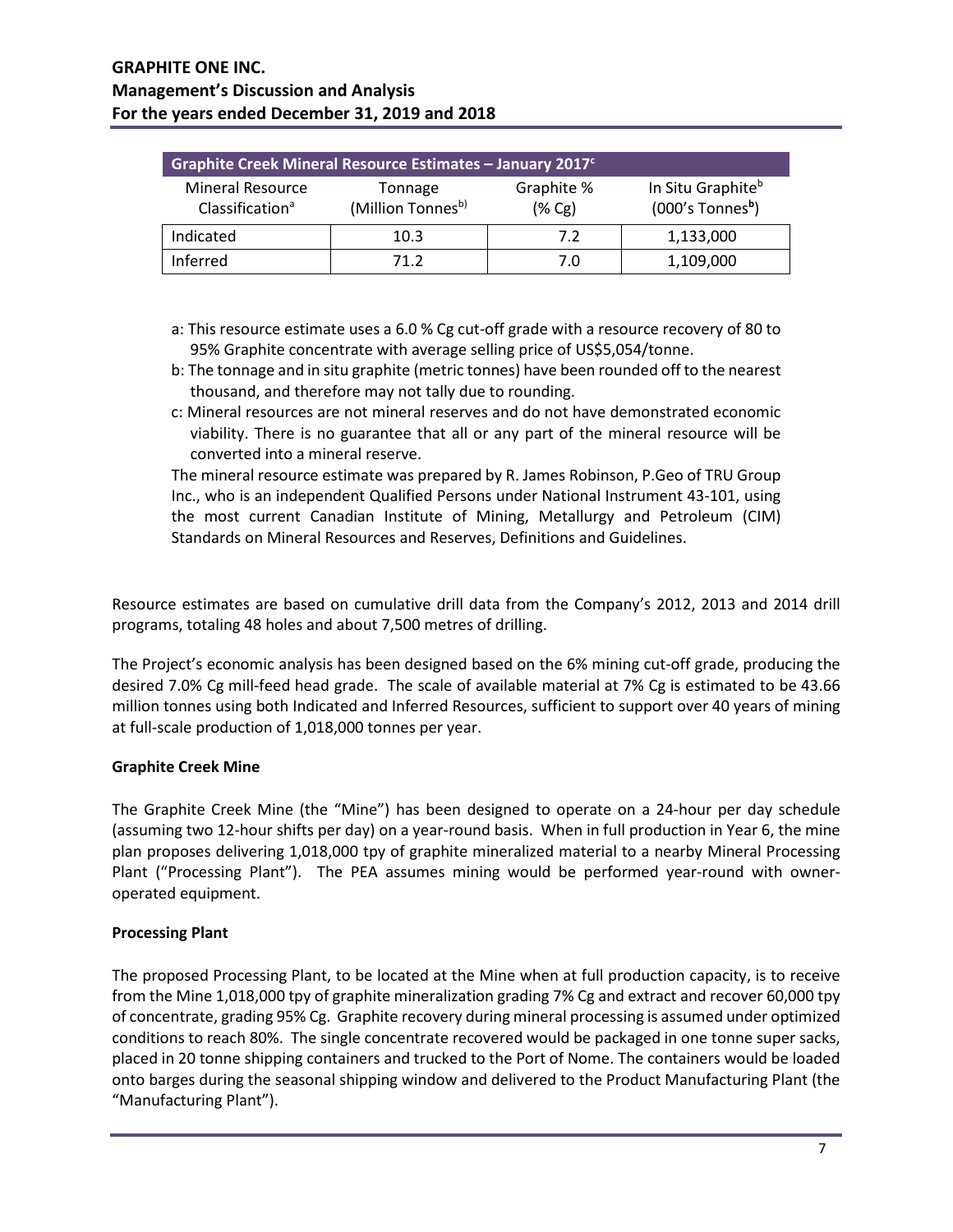| Graphite Creek Mineral Resource Estimates - January 2017 <sup>c</sup> |                         |                                                                 |           |  |  |  |  |  |
|-----------------------------------------------------------------------|-------------------------|-----------------------------------------------------------------|-----------|--|--|--|--|--|
| <b>Mineral Resource</b><br>Classification <sup>a</sup>                | Graphite %<br>$(\% Cg)$ | In Situ Graphite <sup>b</sup><br>$(000's$ Tonnes <sup>b</sup> ) |           |  |  |  |  |  |
| Indicated                                                             | 10.3                    | 7.2                                                             | 1,133,000 |  |  |  |  |  |
| Inferred                                                              | 71 2                    | 7.0                                                             | 1,109,000 |  |  |  |  |  |

- a: This resource estimate uses a 6.0 % Cg cut-off grade with a resource recovery of 80 to 95% Graphite concentrate with average selling price of US\$5,054/tonne.
- b: The tonnage and in situ graphite (metric tonnes) have been rounded off to the nearest thousand, and therefore may not tally due to rounding.
- c: Mineral resources are not mineral reserves and do not have demonstrated economic viability. There is no guarantee that all or any part of the mineral resource will be converted into a mineral reserve.

The mineral resource estimate was prepared by R. James Robinson, P.Geo of TRU Group Inc., who is an independent Qualified Persons under National Instrument 43-101, using the most current Canadian Institute of Mining, Metallurgy and Petroleum (CIM) Standards on Mineral Resources and Reserves, Definitions and Guidelines.

Resource estimates are based on cumulative drill data from the Company's 2012, 2013 and 2014 drill programs, totaling 48 holes and about 7,500 metres of drilling.

The Project's economic analysis has been designed based on the 6% mining cut-off grade, producing the desired 7.0% Cg mill-feed head grade. The scale of available material at 7% Cg is estimated to be 43.66 million tonnes using both Indicated and Inferred Resources, sufficient to support over 40 years of mining at full-scale production of 1,018,000 tonnes per year.

## **Graphite Creek Mine**

The Graphite Creek Mine (the "Mine") has been designed to operate on a 24-hour per day schedule (assuming two 12-hour shifts per day) on a year-round basis. When in full production in Year 6, the mine plan proposes delivering 1,018,000 tpy of graphite mineralized material to a nearby Mineral Processing Plant ("Processing Plant"). The PEA assumes mining would be performed year-round with owneroperated equipment.

## **Processing Plant**

The proposed Processing Plant, to be located at the Mine when at full production capacity, is to receive from the Mine 1,018,000 tpy of graphite mineralization grading 7% Cg and extract and recover 60,000 tpy of concentrate, grading 95% Cg. Graphite recovery during mineral processing is assumed under optimized conditions to reach 80%. The single concentrate recovered would be packaged in one tonne super sacks, placed in 20 tonne shipping containers and trucked to the Port of Nome. The containers would be loaded onto barges during the seasonal shipping window and delivered to the Product Manufacturing Plant (the "Manufacturing Plant").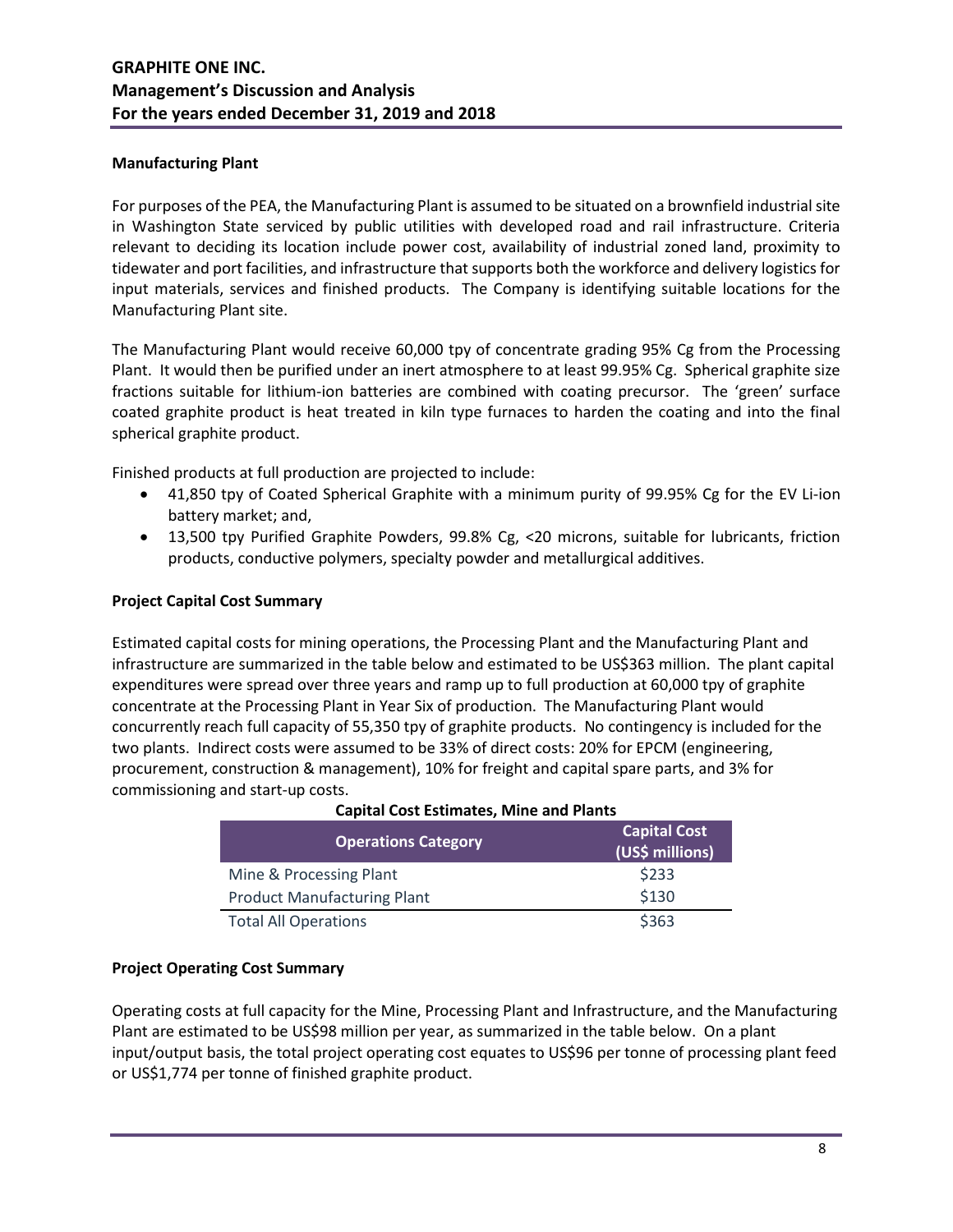## **Manufacturing Plant**

For purposes of the PEA, the Manufacturing Plant is assumed to be situated on a brownfield industrial site in Washington State serviced by public utilities with developed road and rail infrastructure. Criteria relevant to deciding its location include power cost, availability of industrial zoned land, proximity to tidewater and port facilities, and infrastructure that supports both the workforce and delivery logistics for input materials, services and finished products. The Company is identifying suitable locations for the Manufacturing Plant site.

The Manufacturing Plant would receive 60,000 tpy of concentrate grading 95% Cg from the Processing Plant. It would then be purified under an inert atmosphere to at least 99.95% Cg. Spherical graphite size fractions suitable for lithium-ion batteries are combined with coating precursor. The 'green' surface coated graphite product is heat treated in kiln type furnaces to harden the coating and into the final spherical graphite product.

Finished products at full production are projected to include:

- 41,850 tpy of Coated Spherical Graphite with a minimum purity of 99.95% Cg for the EV Li-ion battery market; and,
- 13,500 tpy Purified Graphite Powders, 99.8% Cg, <20 microns, suitable for lubricants, friction products, conductive polymers, specialty powder and metallurgical additives.

## **Project Capital Cost Summary**

Estimated capital costs for mining operations, the Processing Plant and the Manufacturing Plant and infrastructure are summarized in the table below and estimated to be US\$363 million. The plant capital expenditures were spread over three years and ramp up to full production at 60,000 tpy of graphite concentrate at the Processing Plant in Year Six of production. The Manufacturing Plant would concurrently reach full capacity of 55,350 tpy of graphite products. No contingency is included for the two plants. Indirect costs were assumed to be 33% of direct costs: 20% for EPCM (engineering, procurement, construction & management), 10% for freight and capital spare parts, and 3% for commissioning and start-up costs.

| <b>Operations Category</b>         | <b>Capital Cost</b><br>(US\$ millions) |
|------------------------------------|----------------------------------------|
| Mine & Processing Plant            | \$233                                  |
| <b>Product Manufacturing Plant</b> | \$130                                  |
| <b>Total All Operations</b>        | \$363                                  |

## **Capital Cost Estimates, Mine and Plants**

## **Project Operating Cost Summary**

Operating costs at full capacity for the Mine, Processing Plant and Infrastructure, and the Manufacturing Plant are estimated to be US\$98 million per year, as summarized in the table below. On a plant input/output basis, the total project operating cost equates to US\$96 per tonne of processing plant feed or US\$1,774 per tonne of finished graphite product.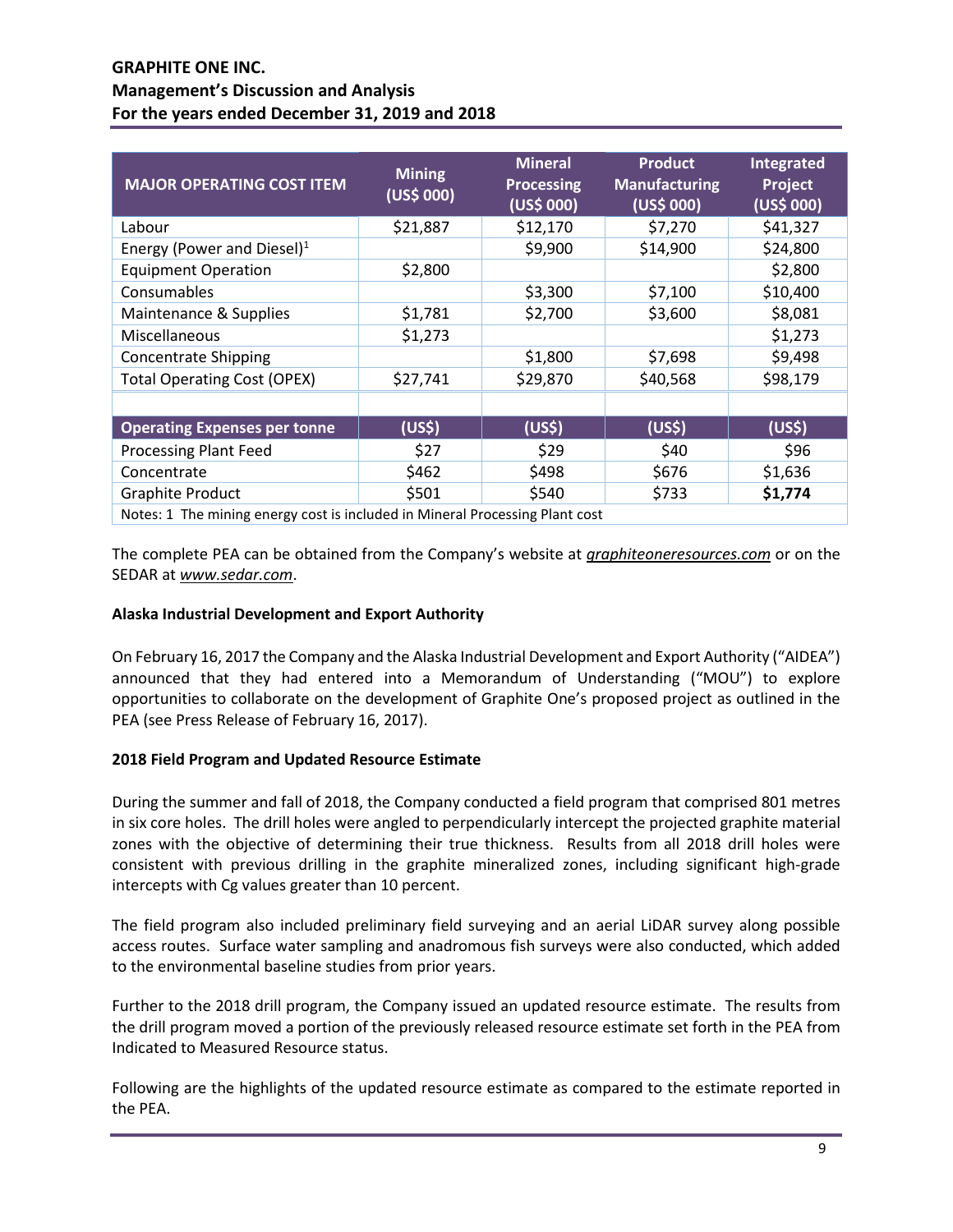| <b>MAJOR OPERATING COST ITEM</b>                                             | <b>Mining</b><br>(US\$000) | <b>Mineral</b><br><b>Processing</b><br>(US\$ 000) | <b>Product</b><br><b>Manufacturing</b><br>(US\$000) | Integrated<br>Project<br>(US\$ 000) |
|------------------------------------------------------------------------------|----------------------------|---------------------------------------------------|-----------------------------------------------------|-------------------------------------|
| Labour                                                                       | \$21,887                   | \$12,170                                          | \$7,270                                             | \$41,327                            |
| Energy (Power and Diesel) <sup>1</sup>                                       |                            | \$9,900                                           | \$14,900                                            | \$24,800                            |
| <b>Equipment Operation</b>                                                   | \$2,800                    |                                                   |                                                     | \$2,800                             |
| Consumables                                                                  |                            | \$3,300                                           | \$7,100                                             | \$10,400                            |
| Maintenance & Supplies                                                       | \$1,781                    | \$2,700                                           | \$3,600                                             | \$8,081                             |
| Miscellaneous                                                                | \$1,273                    |                                                   |                                                     | \$1,273                             |
| <b>Concentrate Shipping</b>                                                  |                            | \$1,800                                           | \$7,698                                             | \$9,498                             |
| <b>Total Operating Cost (OPEX)</b>                                           | \$27,741                   | \$29,870                                          | \$40,568                                            | \$98,179                            |
|                                                                              |                            |                                                   |                                                     |                                     |
| <b>Operating Expenses per tonne</b>                                          | (US\$)                     | (US <sup>5</sup> )                                | (US <sup>5</sup> )                                  | (US <sub>5</sub> )                  |
| <b>Processing Plant Feed</b>                                                 | \$27                       | \$29                                              | \$40                                                | \$96                                |
| Concentrate                                                                  | \$462                      | \$498                                             | \$676                                               | \$1,636                             |
| <b>Graphite Product</b>                                                      | \$501                      | \$540                                             | \$733                                               | \$1,774                             |
| Notes: 1 The mining energy cost is included in Mineral Processing Plant cost |                            |                                                   |                                                     |                                     |

The complete PEA can be obtained from the Company's website at *graphiteoneresources.com* or on the SEDAR at *www.sedar.com*.

## **Alaska Industrial Development and Export Authority**

On February 16, 2017 the Company and the Alaska Industrial Development and Export Authority ("AIDEA") announced that they had entered into a Memorandum of Understanding ("MOU") to explore opportunities to collaborate on the development of Graphite One's proposed project as outlined in the PEA (see Press Release of February 16, 2017).

## **2018 Field Program and Updated Resource Estimate**

During the summer and fall of 2018, the Company conducted a field program that comprised 801 metres in six core holes. The drill holes were angled to perpendicularly intercept the projected graphite material zones with the objective of determining their true thickness. Results from all 2018 drill holes were consistent with previous drilling in the graphite mineralized zones, including significant high-grade intercepts with Cg values greater than 10 percent.

The field program also included preliminary field surveying and an aerial LiDAR survey along possible access routes. Surface water sampling and anadromous fish surveys were also conducted, which added to the environmental baseline studies from prior years.

Further to the 2018 drill program, the Company issued an updated resource estimate. The results from the drill program moved a portion of the previously released resource estimate set forth in the PEA from Indicated to Measured Resource status.

Following are the highlights of the updated resource estimate as compared to the estimate reported in the PEA.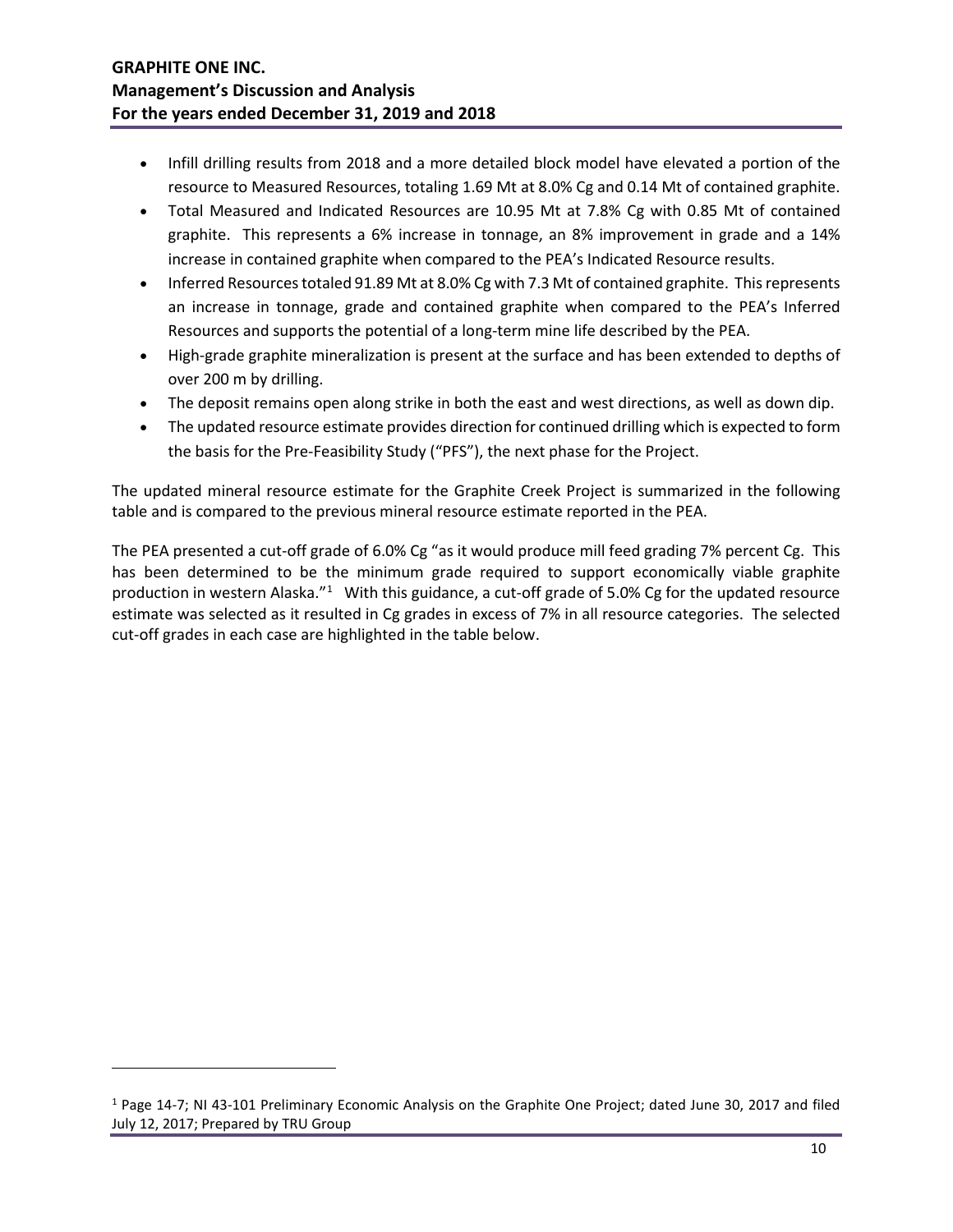- Infill drilling results from 2018 and a more detailed block model have elevated a portion of the resource to Measured Resources, totaling 1.69 Mt at 8.0% Cg and 0.14 Mt of contained graphite.
- Total Measured and Indicated Resources are 10.95 Mt at 7.8% Cg with 0.85 Mt of contained graphite. This represents a 6% increase in tonnage, an 8% improvement in grade and a 14% increase in contained graphite when compared to the PEA's Indicated Resource results.
- Inferred Resources totaled 91.89 Mt at 8.0% Cg with 7.3 Mt of contained graphite. This represents an increase in tonnage, grade and contained graphite when compared to the PEA's Inferred Resources and supports the potential of a long-term mine life described by the PEA.
- High-grade graphite mineralization is present at the surface and has been extended to depths of over 200 m by drilling.
- The deposit remains open along strike in both the east and west directions, as well as down dip.
- The updated resource estimate provides direction for continued drilling which is expected to form the basis for the Pre-Feasibility Study ("PFS"), the next phase for the Project.

The updated mineral resource estimate for the Graphite Creek Project is summarized in the following table and is compared to the previous mineral resource estimate reported in the PEA.

The PEA presented a cut-off grade of 6.0% Cg "as it would produce mill feed grading 7% percent Cg. This has been determined to be the minimum grade required to support economically viable graphite production in western Alaska."<sup>[1](#page-9-0)</sup> With this guidance, a cut-off grade of 5.0% Cg for the updated resource estimate was selected as it resulted in Cg grades in excess of 7% in all resource categories. The selected cut-off grades in each case are highlighted in the table below.

<span id="page-9-0"></span><sup>1</sup> Page 14-7; NI 43-101 Preliminary Economic Analysis on the Graphite One Project; dated June 30, 2017 and filed July 12, 2017; Prepared by TRU Group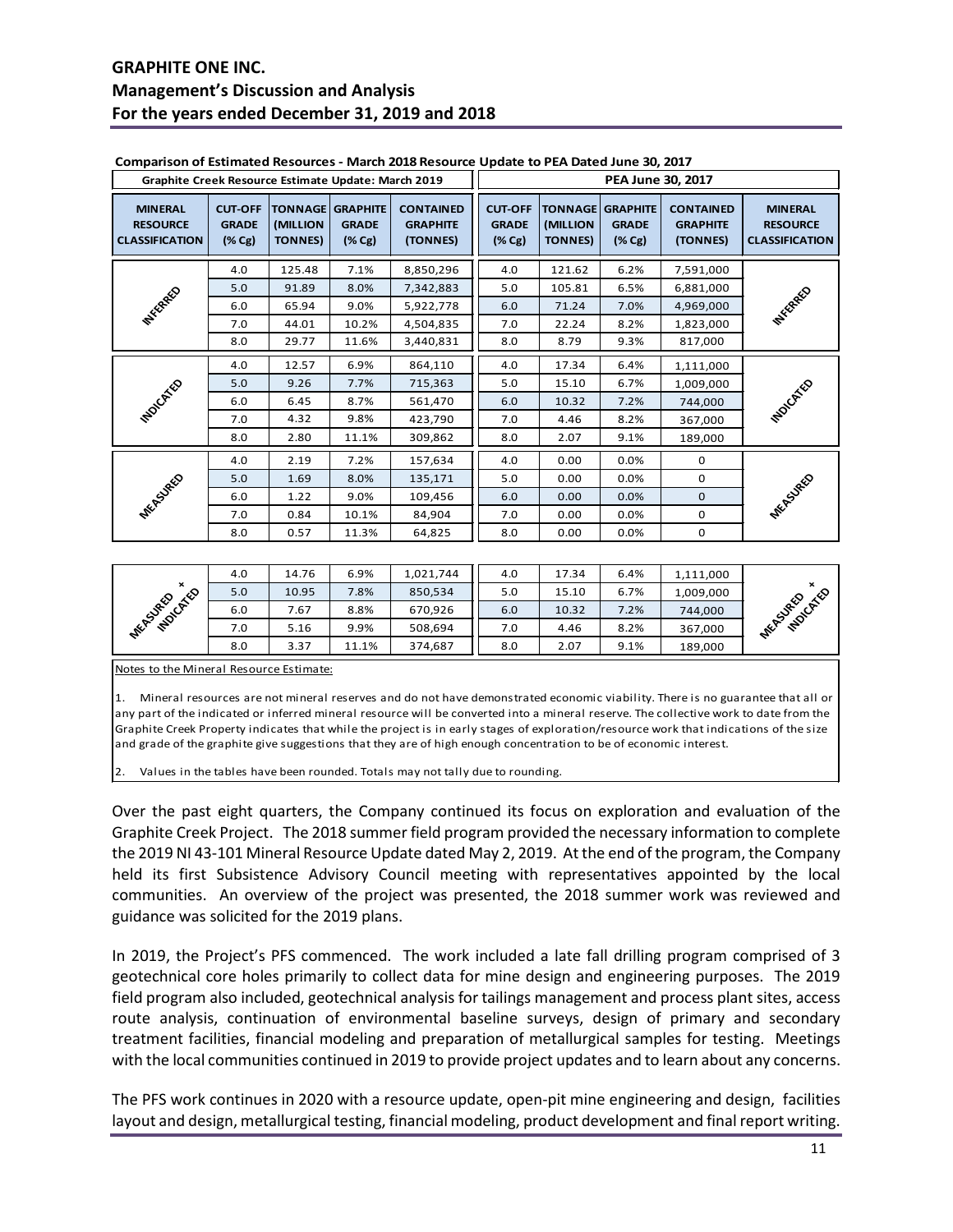| Graphite Creek Resource Estimate Update: March 2019        |                                                       |                                              |                                                        |                                                 | PEA June 30, 2017                                     |                             |                                                           |                                                 |                                                            |
|------------------------------------------------------------|-------------------------------------------------------|----------------------------------------------|--------------------------------------------------------|-------------------------------------------------|-------------------------------------------------------|-----------------------------|-----------------------------------------------------------|-------------------------------------------------|------------------------------------------------------------|
| <b>MINERAL</b><br><b>RESOURCE</b><br><b>CLASSIFICATION</b> | <b>CUT-OFF</b><br><b>GRADE</b><br>$(\% \, \text{Cg})$ | <b>TONNAGE</b><br>(MILLION<br><b>TONNES)</b> | <b>GRAPHITE</b><br><b>GRADE</b><br>$(\% \, \text{Cg})$ | <b>CONTAINED</b><br><b>GRAPHITE</b><br>(TONNES) | <b>CUT-OFF</b><br><b>GRADE</b><br>$(\% \, \text{Cg})$ | (MILLION<br><b>TONNES</b> ) | TONNAGE   GRAPHITE<br><b>GRADE</b><br>$(\% \, \text{Cg})$ | <b>CONTAINED</b><br><b>GRAPHITE</b><br>(TONNES) | <b>MINERAL</b><br><b>RESOURCE</b><br><b>CLASSIFICATION</b> |
|                                                            | 4.0                                                   | 125.48                                       | 7.1%                                                   | 8,850,296                                       | 4.0                                                   | 121.62                      | 6.2%                                                      | 7,591,000                                       |                                                            |
|                                                            | 5.0                                                   | 91.89                                        | 8.0%                                                   | 7,342,883                                       | 5.0                                                   | 105.81                      | 6.5%                                                      | 6,881,000                                       |                                                            |
| <b>MYSCRAEO</b>                                            | 6.0                                                   | 65.94                                        | 9.0%                                                   | 5,922,778                                       | 6.0                                                   | 71.24                       | 7.0%                                                      | 4,969,000                                       | <b>PHYSTRAEO</b>                                           |
|                                                            | 7.0                                                   | 44.01                                        | 10.2%                                                  | 4,504,835                                       | 7.0                                                   | 22.24                       | 8.2%                                                      | 1,823,000                                       |                                                            |
|                                                            | 8.0                                                   | 29.77                                        | 11.6%                                                  | 3,440,831                                       | 8.0                                                   | 8.79                        | 9.3%                                                      | 817,000                                         |                                                            |
|                                                            | 4.0                                                   | 12.57                                        | 6.9%                                                   | 864,110                                         | 4.0                                                   | 17.34                       | 6.4%                                                      | 1,111,000                                       |                                                            |
|                                                            | 5.0                                                   | 9.26                                         | 7.7%                                                   | 715,363                                         | 5.0                                                   | 15.10                       | 6.7%                                                      | 1,009,000                                       |                                                            |
| <b>PIOLOGY</b> CO                                          | 6.0                                                   | 6.45                                         | 8.7%                                                   | 561,470                                         | 6.0                                                   | 10.32                       | 7.2%                                                      | 744,000                                         | <b>MUDICATE</b>                                            |
|                                                            | 7.0                                                   | 4.32                                         | 9.8%                                                   | 423,790                                         | 7.0                                                   | 4.46                        | 8.2%                                                      | 367,000                                         |                                                            |
|                                                            | 8.0                                                   | 2.80                                         | 11.1%                                                  | 309,862                                         | 8.0                                                   | 2.07                        | 9.1%                                                      | 189,000                                         |                                                            |
|                                                            | 4.0                                                   | 2.19                                         | 7.2%                                                   | 157,634                                         | 4.0                                                   | 0.00                        | 0.0%                                                      | $\mathbf 0$                                     |                                                            |
|                                                            | 5.0                                                   | 1.69                                         | 8.0%                                                   | 135,171                                         | 5.0                                                   | 0.00                        | 0.0%                                                      | $\mathbf 0$                                     |                                                            |
| <b>MEASURED</b>                                            | 6.0                                                   | 1.22                                         | 9.0%                                                   | 109,456                                         | 6.0                                                   | 0.00                        | 0.0%                                                      | $\mathbf 0$                                     | <b>MEASURED</b>                                            |
|                                                            | 7.0                                                   | 0.84                                         | 10.1%                                                  | 84,904                                          | 7.0                                                   | 0.00                        | 0.0%                                                      | $\mathbf 0$                                     |                                                            |
|                                                            | 8.0                                                   | 0.57                                         | 11.3%                                                  | 64,825                                          | 8.0                                                   | 0.00                        | 0.0%                                                      | 0                                               |                                                            |

|                           | 4.0 | 14.76 | 6.9%  | 1,021,744 | 4.0 | 17.34 | 6.4% | 1,111,000 |                 |
|---------------------------|-----|-------|-------|-----------|-----|-------|------|-----------|-----------------|
| $\boldsymbol{\mathsf{x}}$ | 5.0 | 10.95 | .8%   | 850,534   | 5.0 | 15.10 | 6.7% | 1,009,000 | ×               |
| <b>MUDICATE</b>           | 6.0 | .67   | 8.8%  | 670,926   | 6.0 | 10.32 | 7.2% | 744,000   | molcktico       |
| <b>MEASURED</b>           | 7.0 | 5.16  | 9.9%  | 508.694   | 7.0 | 4.46  | 8.2% | 367,000   | <b>MEASURED</b> |
|                           | 8.0 | 3.37  | 11.1% | 374,687   | 8.0 | 2.07  | 9.1% | 189,000   |                 |

Notes to the Mineral Resource Estimate:

1. Mineral resources are not mineral reserves and do not have demonstrated economic viability. There is no guarantee that all or any part of the indicated or inferred mineral resource will be converted into a mineral reserve. The collective work to date from the Graphite Creek Property indicates that while the project is in early stages of exploration/resource work that indications of the size and grade of the graphite give suggestions that they are of high enough concentration to be of economic interest.

Values in the tables have been rounded. Totals may not tally due to rounding.

Over the past eight quarters, the Company continued its focus on exploration and evaluation of the Graphite Creek Project. The 2018 summer field program provided the necessary information to complete the 2019 NI 43-101 Mineral Resource Update dated May 2, 2019. At the end of the program, the Company held its first Subsistence Advisory Council meeting with representatives appointed by the local communities. An overview of the project was presented, the 2018 summer work was reviewed and guidance was solicited for the 2019 plans.

In 2019, the Project's PFS commenced. The work included a late fall drilling program comprised of 3 geotechnical core holes primarily to collect data for mine design and engineering purposes. The 2019 field program also included, geotechnical analysis for tailings management and process plant sites, access route analysis, continuation of environmental baseline surveys, design of primary and secondary treatment facilities, financial modeling and preparation of metallurgical samples for testing. Meetings with the local communities continued in 2019 to provide project updates and to learn about any concerns.

The PFS work continues in 2020 with a resource update, open-pit mine engineering and design, facilities layout and design, metallurgical testing, financial modeling, product development and final report writing.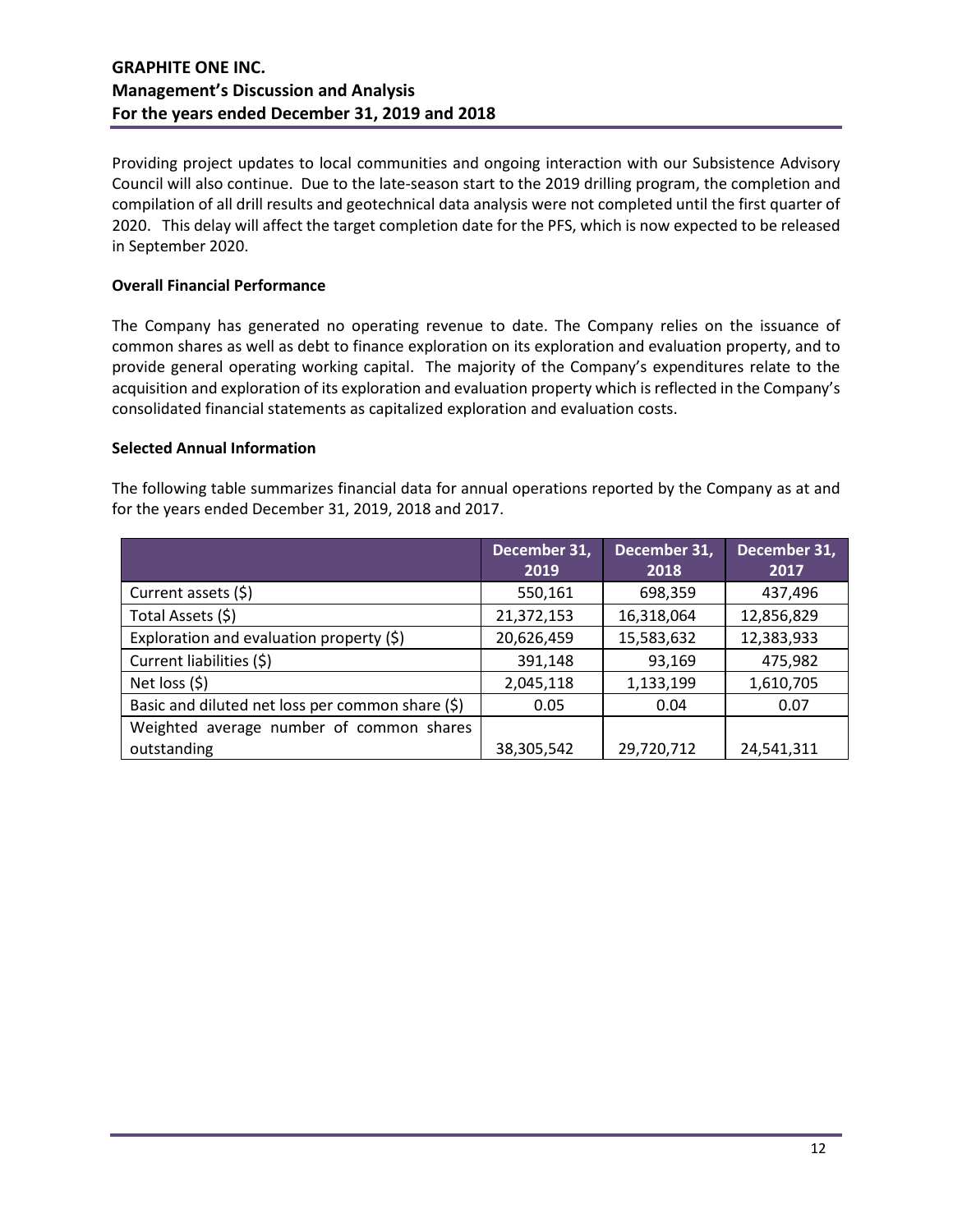Providing project updates to local communities and ongoing interaction with our Subsistence Advisory Council will also continue. Due to the late-season start to the 2019 drilling program, the completion and compilation of all drill results and geotechnical data analysis were not completed until the first quarter of 2020. This delay will affect the target completion date for the PFS, which is now expected to be released in September 2020.

## **Overall Financial Performance**

The Company has generated no operating revenue to date. The Company relies on the issuance of common shares as well as debt to finance exploration on its exploration and evaluation property, and to provide general operating working capital. The majority of the Company's expenditures relate to the acquisition and exploration of its exploration and evaluation property which is reflected in the Company's consolidated financial statements as capitalized exploration and evaluation costs.

## **Selected Annual Information**

The following table summarizes financial data for annual operations reported by the Company as at and for the years ended December 31, 2019, 2018 and 2017.

|                                                  | December 31,<br>2019 | December 31,<br>2018 | December 31,<br>2017 |
|--------------------------------------------------|----------------------|----------------------|----------------------|
| Current assets (\$)                              | 550,161              | 698,359              | 437,496              |
| Total Assets (\$)                                | 21,372,153           | 16,318,064           | 12,856,829           |
| Exploration and evaluation property (\$)         | 20,626,459           | 15,583,632           | 12,383,933           |
| Current liabilities (\$)                         | 391,148              | 93,169               | 475,982              |
| Net loss $(5)$                                   | 2,045,118            | 1,133,199            | 1,610,705            |
| Basic and diluted net loss per common share (\$) | 0.05                 | 0.04                 | 0.07                 |
| Weighted average number of common shares         |                      |                      |                      |
| outstanding                                      | 38,305,542           | 29,720,712           | 24,541,311           |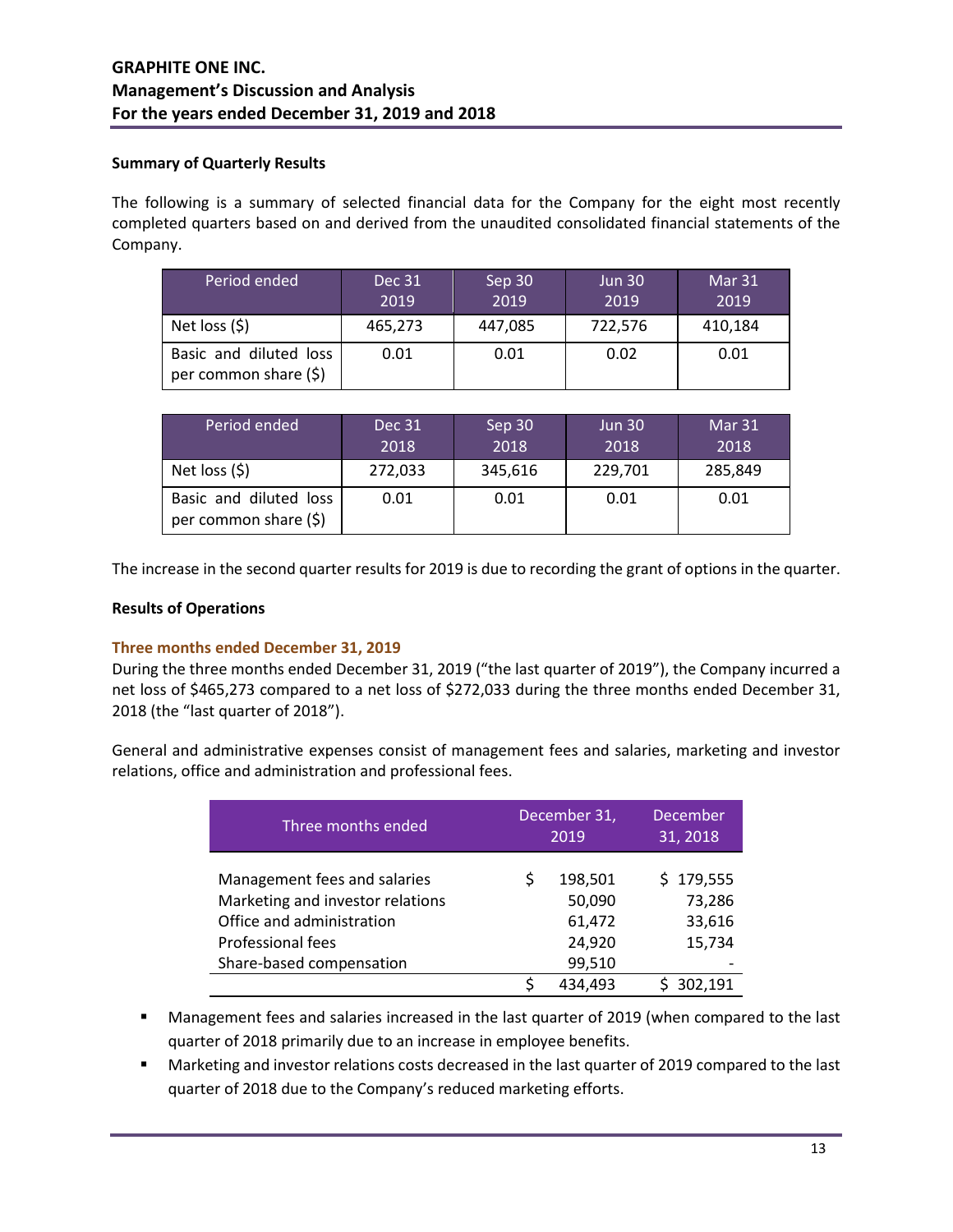## **Summary of Quarterly Results**

The following is a summary of selected financial data for the Company for the eight most recently completed quarters based on and derived from the unaudited consolidated financial statements of the Company.

| Period ended                                    | Dec 31<br>2019 | Sep 30<br>2019 | <b>Jun 30</b><br>2019 | Mar 31<br>2019 |
|-------------------------------------------------|----------------|----------------|-----------------------|----------------|
| Net loss $(5)$                                  | 465,273        | 447,085        | 722,576               | 410,184        |
| Basic and diluted loss<br>per common share (\$) | 0.01           | 0.01           | 0.02                  | 0.01           |

| Period ended                                    | Dec 31<br>2018 | Sep 30<br>2018 | <b>Jun 30</b><br>2018 | Mar 31<br>2018 |
|-------------------------------------------------|----------------|----------------|-----------------------|----------------|
| Net loss $(5)$                                  | 272,033        | 345,616        | 229,701               | 285,849        |
| Basic and diluted loss<br>per common share (\$) | 0.01           | 0.01           | 0.01                  | 0.01           |

The increase in the second quarter results for 2019 is due to recording the grant of options in the quarter.

## **Results of Operations**

## **Three months ended December 31, 2019**

During the three months ended December 31, 2019 ("the last quarter of 2019"), the Company incurred a net loss of \$465,273 compared to a net loss of \$272,033 during the three months ended December 31, 2018 (the "last quarter of 2018").

General and administrative expenses consist of management fees and salaries, marketing and investor relations, office and administration and professional fees.

| Three months ended                                                                                                                             | December 31,<br>2019 |                                                 | <b>December</b><br>31, 2018             |
|------------------------------------------------------------------------------------------------------------------------------------------------|----------------------|-------------------------------------------------|-----------------------------------------|
| Management fees and salaries<br>Marketing and investor relations<br>Office and administration<br>Professional fees<br>Share-based compensation | Ś                    | 198,501<br>50,090<br>61,472<br>24,920<br>99,510 | \$179,555<br>73,286<br>33,616<br>15,734 |
|                                                                                                                                                | Ś                    | 434,493                                         | 302,191                                 |

- Management fees and salaries increased in the last quarter of 2019 (when compared to the last quarter of 2018 primarily due to an increase in employee benefits.
- **Marketing and investor relations costs decreased in the last quarter of 2019 compared to the last** quarter of 2018 due to the Company's reduced marketing efforts.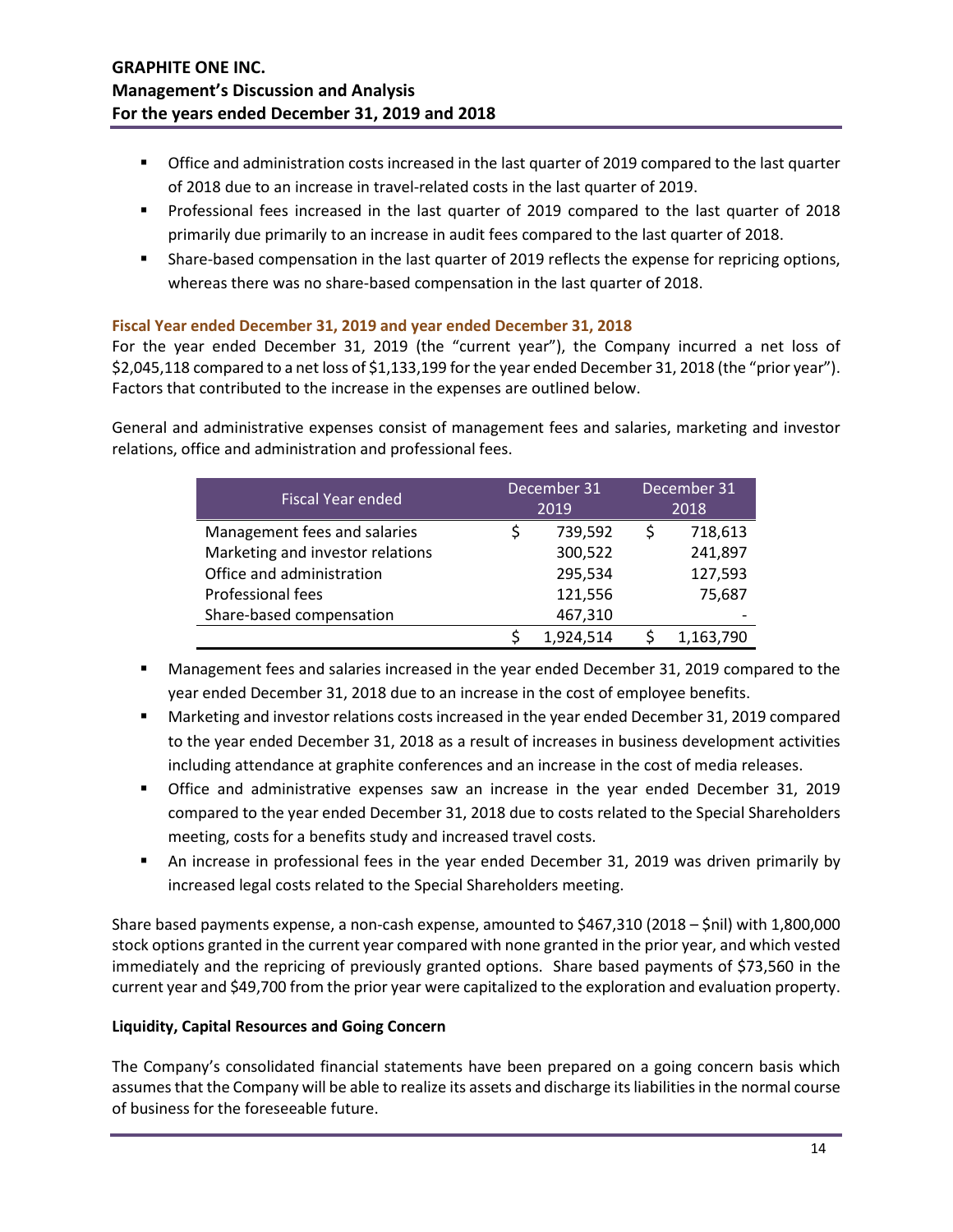- **THE Office and administration costs increased in the last quarter of 2019 compared to the last quarter** of 2018 due to an increase in travel-related costs in the last quarter of 2019.
- **Professional fees increased in the last quarter of 2019 compared to the last quarter of 2018** primarily due primarily to an increase in audit fees compared to the last quarter of 2018.
- Share-based compensation in the last quarter of 2019 reflects the expense for repricing options, whereas there was no share-based compensation in the last quarter of 2018.

## **Fiscal Year ended December 31, 2019 and year ended December 31, 2018**

For the year ended December 31, 2019 (the "current year"), the Company incurred a net loss of \$2,045,118 compared to a net loss of \$1,133,199 for the year ended December 31, 2018 (the "prior year"). Factors that contributed to the increase in the expenses are outlined below.

General and administrative expenses consist of management fees and salaries, marketing and investor relations, office and administration and professional fees.

| <b>Fiscal Year ended</b>         |         | December 31 |  | December 31 |  |
|----------------------------------|---------|-------------|--|-------------|--|
|                                  |         | 2019        |  | 2018        |  |
| Management fees and salaries     |         | 739,592     |  | 718,613     |  |
| Marketing and investor relations | 300,522 |             |  | 241,897     |  |
| Office and administration        |         | 295,534     |  | 127,593     |  |
| Professional fees                |         | 121,556     |  | 75,687      |  |
| Share-based compensation         |         | 467,310     |  |             |  |
|                                  |         | 1,924,514   |  | 1,163,790   |  |

- Management fees and salaries increased in the year ended December 31, 2019 compared to the year ended December 31, 2018 due to an increase in the cost of employee benefits.
- Marketing and investor relations costs increased in the year ended December 31, 2019 compared to the year ended December 31, 2018 as a result of increases in business development activities including attendance at graphite conferences and an increase in the cost of media releases.
- Office and administrative expenses saw an increase in the year ended December 31, 2019 compared to the year ended December 31, 2018 due to costs related to the Special Shareholders meeting, costs for a benefits study and increased travel costs.
- An increase in professional fees in the year ended December 31, 2019 was driven primarily by increased legal costs related to the Special Shareholders meeting.

Share based payments expense, a non-cash expense, amounted to \$467,310 (2018 – \$nil) with 1,800,000 stock options granted in the current year compared with none granted in the prior year, and which vested immediately and the repricing of previously granted options. Share based payments of \$73,560 in the current year and \$49,700 from the prior year were capitalized to the exploration and evaluation property.

## **Liquidity, Capital Resources and Going Concern**

The Company's consolidated financial statements have been prepared on a going concern basis which assumes that the Company will be able to realize its assets and discharge its liabilities in the normal course of business for the foreseeable future.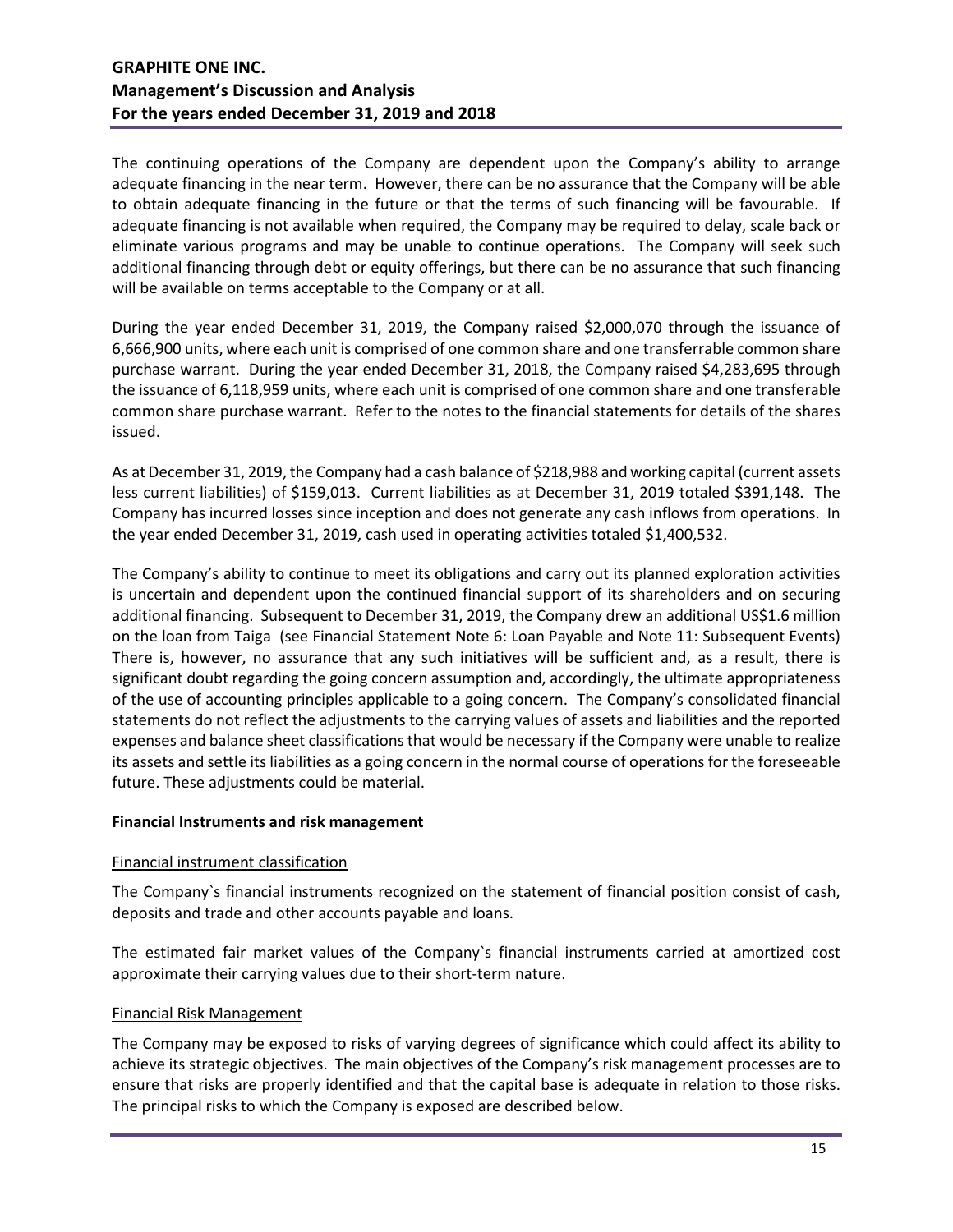The continuing operations of the Company are dependent upon the Company's ability to arrange adequate financing in the near term. However, there can be no assurance that the Company will be able to obtain adequate financing in the future or that the terms of such financing will be favourable. If adequate financing is not available when required, the Company may be required to delay, scale back or eliminate various programs and may be unable to continue operations. The Company will seek such additional financing through debt or equity offerings, but there can be no assurance that such financing will be available on terms acceptable to the Company or at all.

During the year ended December 31, 2019, the Company raised \$2,000,070 through the issuance of 6,666,900 units, where each unit is comprised of one common share and one transferrable common share purchase warrant. During the year ended December 31, 2018, the Company raised \$4,283,695 through the issuance of 6,118,959 units, where each unit is comprised of one common share and one transferable common share purchase warrant. Refer to the notes to the financial statements for details of the shares issued.

As at December 31, 2019, the Company had a cash balance of \$218,988 and working capital (current assets less current liabilities) of \$159,013. Current liabilities as at December 31, 2019 totaled \$391,148. The Company has incurred losses since inception and does not generate any cash inflows from operations. In the year ended December 31, 2019, cash used in operating activities totaled \$1,400,532.

The Company's ability to continue to meet its obligations and carry out its planned exploration activities is uncertain and dependent upon the continued financial support of its shareholders and on securing additional financing. Subsequent to December 31, 2019, the Company drew an additional US\$1.6 million on the loan from Taiga (see Financial Statement Note 6: Loan Payable and Note 11: Subsequent Events) There is, however, no assurance that any such initiatives will be sufficient and, as a result, there is significant doubt regarding the going concern assumption and, accordingly, the ultimate appropriateness of the use of accounting principles applicable to a going concern. The Company's consolidated financial statements do not reflect the adjustments to the carrying values of assets and liabilities and the reported expenses and balance sheet classifications that would be necessary if the Company were unable to realize its assets and settle its liabilities as a going concern in the normal course of operations for the foreseeable future. These adjustments could be material.

## **Financial Instruments and risk management**

## Financial instrument classification

The Company`s financial instruments recognized on the statement of financial position consist of cash, deposits and trade and other accounts payable and loans.

The estimated fair market values of the Company`s financial instruments carried at amortized cost approximate their carrying values due to their short-term nature.

## Financial Risk Management

The Company may be exposed to risks of varying degrees of significance which could affect its ability to achieve its strategic objectives. The main objectives of the Company's risk management processes are to ensure that risks are properly identified and that the capital base is adequate in relation to those risks. The principal risks to which the Company is exposed are described below.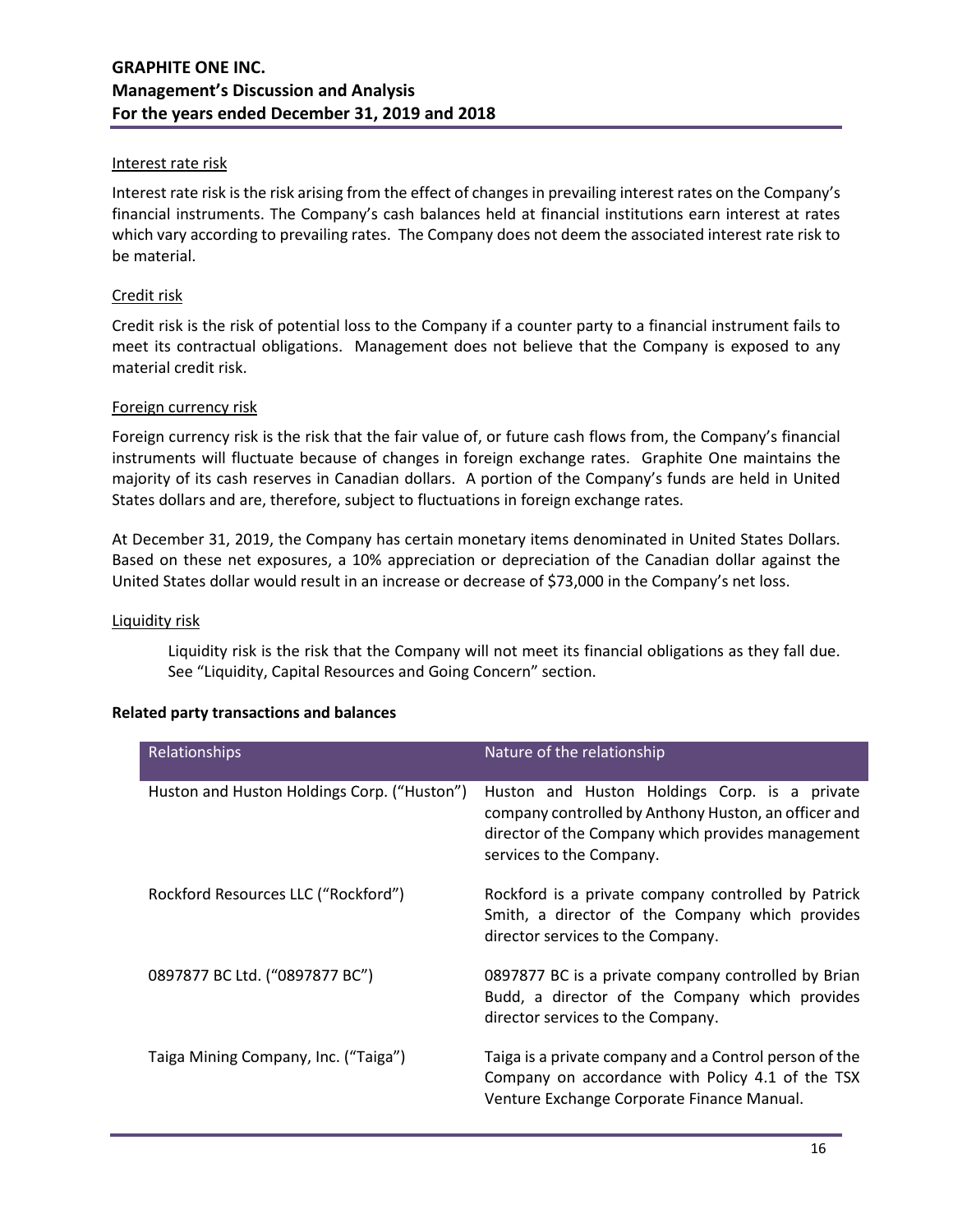## Interest rate risk

Interest rate risk is the risk arising from the effect of changes in prevailing interest rates on the Company's financial instruments. The Company's cash balances held at financial institutions earn interest at rates which vary according to prevailing rates. The Company does not deem the associated interest rate risk to be material.

## Credit risk

Credit risk is the risk of potential loss to the Company if a counter party to a financial instrument fails to meet its contractual obligations. Management does not believe that the Company is exposed to any material credit risk.

## Foreign currency risk

Foreign currency risk is the risk that the fair value of, or future cash flows from, the Company's financial instruments will fluctuate because of changes in foreign exchange rates. Graphite One maintains the majority of its cash reserves in Canadian dollars. A portion of the Company's funds are held in United States dollars and are, therefore, subject to fluctuations in foreign exchange rates.

At December 31, 2019, the Company has certain monetary items denominated in United States Dollars. Based on these net exposures, a 10% appreciation or depreciation of the Canadian dollar against the United States dollar would result in an increase or decrease of \$73,000 in the Company's net loss.

## Liquidity risk

Liquidity risk is the risk that the Company will not meet its financial obligations as they fall due. See "Liquidity, Capital Resources and Going Concern" section.

|  |  | <b>Related party transactions and balances</b> |  |  |
|--|--|------------------------------------------------|--|--|
|--|--|------------------------------------------------|--|--|

| Relationships                               | Nature of the relationship                                                                                                                                                             |  |  |  |  |
|---------------------------------------------|----------------------------------------------------------------------------------------------------------------------------------------------------------------------------------------|--|--|--|--|
| Huston and Huston Holdings Corp. ("Huston") | Huston and Huston Holdings Corp. is a private<br>company controlled by Anthony Huston, an officer and<br>director of the Company which provides management<br>services to the Company. |  |  |  |  |
| Rockford Resources LLC ("Rockford")         | Rockford is a private company controlled by Patrick<br>Smith, a director of the Company which provides<br>director services to the Company.                                            |  |  |  |  |
| 0897877 BC Ltd. ("0897877 BC")              | 0897877 BC is a private company controlled by Brian<br>Budd, a director of the Company which provides<br>director services to the Company.                                             |  |  |  |  |
| Taiga Mining Company, Inc. ("Taiga")        | Taiga is a private company and a Control person of the<br>Company on accordance with Policy 4.1 of the TSX<br>Venture Exchange Corporate Finance Manual.                               |  |  |  |  |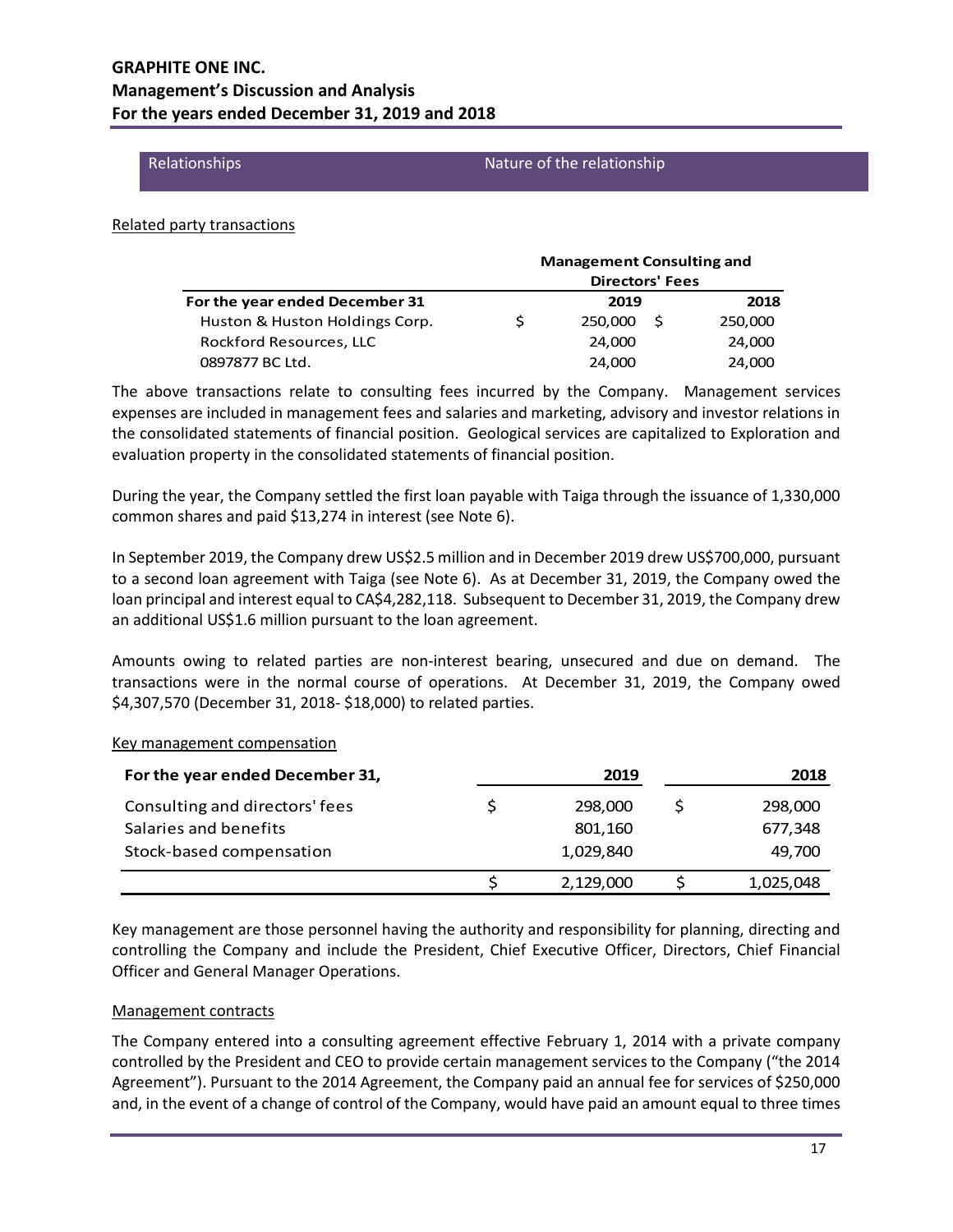#### Relationships Nature of the relationship

#### Related party transactions

|                                |                        | <b>Management Consulting and</b> |     |         |  |
|--------------------------------|------------------------|----------------------------------|-----|---------|--|
|                                | <b>Directors' Fees</b> |                                  |     |         |  |
| For the year ended December 31 |                        | 2019                             |     | 2018    |  |
| Huston & Huston Holdings Corp. |                        | 250,000                          | - S | 250,000 |  |
| Rockford Resources, LLC        |                        | 24,000                           |     | 24,000  |  |
| 0897877 BC Ltd.                |                        | 24,000                           |     | 24,000  |  |

The above transactions relate to consulting fees incurred by the Company. Management services expenses are included in management fees and salaries and marketing, advisory and investor relations in the consolidated statements of financial position. Geological services are capitalized to Exploration and evaluation property in the consolidated statements of financial position.

During the year, the Company settled the first loan payable with Taiga through the issuance of 1,330,000 common shares and paid \$13,274 in interest (see Note 6).

In September 2019, the Company drew US\$2.5 million and in December 2019 drew US\$700,000, pursuant to a second loan agreement with Taiga (see Note 6). As at December 31, 2019, the Company owed the loan principal and interest equal to CA\$4,282,118. Subsequent to December 31, 2019, the Company drew an additional US\$1.6 million pursuant to the loan agreement.

Amounts owing to related parties are non-interest bearing, unsecured and due on demand. The transactions were in the normal course of operations. At December 31, 2019, the Company owed \$4,307,570 (December 31, 2018- \$18,000) to related parties.

# **For the year ended December 31, 2019 2018** Consulting and directors' fees  $\zeta$   $\zeta$  298,000  $\zeta$  298,000 Salaries and benefits 801,160 677,348 Stock-based compensation and the computation of the computation of the computation of the computation of the computation of the computation of the computation of the computation of the computation of the computation of the  $\frac{1}{2}$  2,129,000  $\frac{1}{2}$  1,025,048

#### Key management compensation

Key management are those personnel having the authority and responsibility for planning, directing and controlling the Company and include the President, Chief Executive Officer, Directors, Chief Financial Officer and General Manager Operations.

## Management contracts

The Company entered into a consulting agreement effective February 1, 2014 with a private company controlled by the President and CEO to provide certain management services to the Company ("the 2014 Agreement"). Pursuant to the 2014 Agreement, the Company paid an annual fee for services of \$250,000 and, in the event of a change of control of the Company, would have paid an amount equal to three times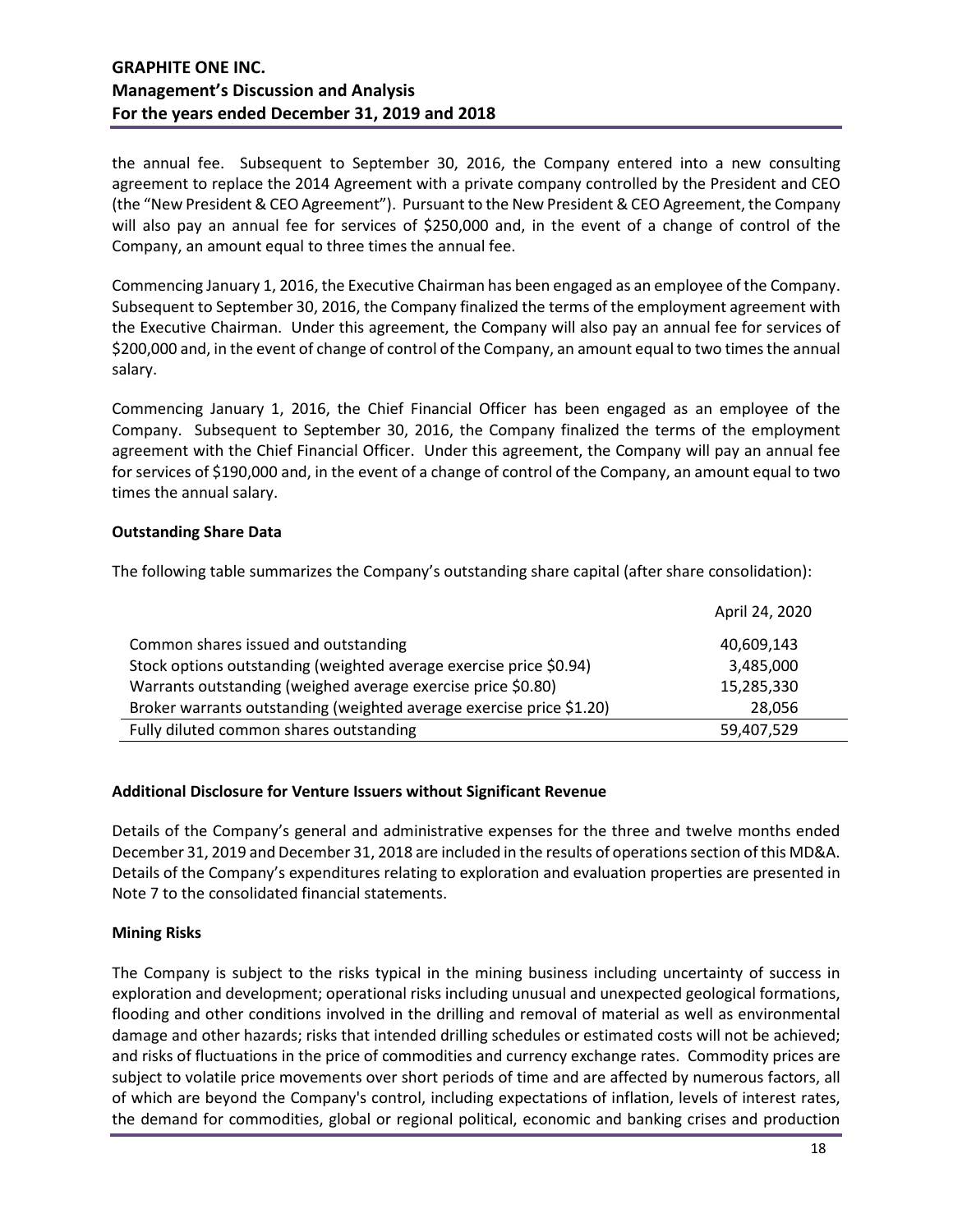the annual fee. Subsequent to September 30, 2016, the Company entered into a new consulting agreement to replace the 2014 Agreement with a private company controlled by the President and CEO (the "New President & CEO Agreement"). Pursuant to the New President & CEO Agreement, the Company will also pay an annual fee for services of \$250,000 and, in the event of a change of control of the Company, an amount equal to three times the annual fee.

Commencing January 1, 2016, the Executive Chairman has been engaged as an employee of the Company. Subsequent to September 30, 2016, the Company finalized the terms of the employment agreement with the Executive Chairman. Under this agreement, the Company will also pay an annual fee for services of \$200,000 and, in the event of change of control of the Company, an amount equal to two times the annual salary.

Commencing January 1, 2016, the Chief Financial Officer has been engaged as an employee of the Company. Subsequent to September 30, 2016, the Company finalized the terms of the employment agreement with the Chief Financial Officer. Under this agreement, the Company will pay an annual fee for services of \$190,000 and, in the event of a change of control of the Company, an amount equal to two times the annual salary.

## **Outstanding Share Data**

The following table summarizes the Company's outstanding share capital (after share consolidation):

|                                                                      | April 24, 2020 |
|----------------------------------------------------------------------|----------------|
| Common shares issued and outstanding                                 | 40,609,143     |
| Stock options outstanding (weighted average exercise price \$0.94)   | 3,485,000      |
| Warrants outstanding (weighed average exercise price \$0.80)         | 15,285,330     |
| Broker warrants outstanding (weighted average exercise price \$1.20) | 28,056         |
| Fully diluted common shares outstanding                              | 59,407,529     |

## **Additional Disclosure for Venture Issuers without Significant Revenue**

Details of the Company's general and administrative expenses for the three and twelve months ended December 31, 2019 and December 31, 2018 are included in the results of operations section of this MD&A. Details of the Company's expenditures relating to exploration and evaluation properties are presented in Note 7 to the consolidated financial statements.

## **Mining Risks**

The Company is subject to the risks typical in the mining business including uncertainty of success in exploration and development; operational risks including unusual and unexpected geological formations, flooding and other conditions involved in the drilling and removal of material as well as environmental damage and other hazards; risks that intended drilling schedules or estimated costs will not be achieved; and risks of fluctuations in the price of commodities and currency exchange rates. Commodity prices are subject to volatile price movements over short periods of time and are affected by numerous factors, all of which are beyond the Company's control, including expectations of inflation, levels of interest rates, the demand for commodities, global or regional political, economic and banking crises and production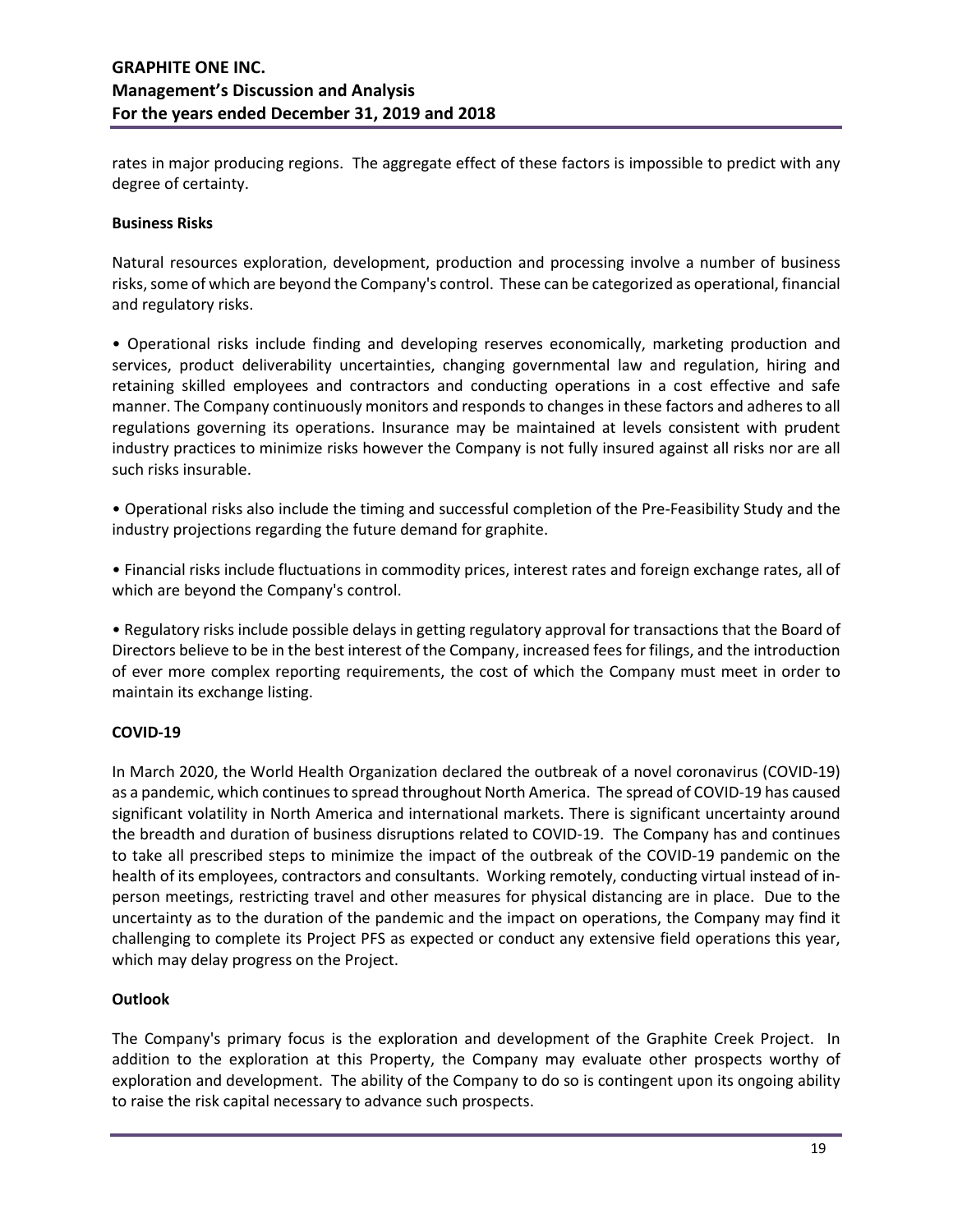rates in major producing regions. The aggregate effect of these factors is impossible to predict with any degree of certainty.

## **Business Risks**

Natural resources exploration, development, production and processing involve a number of business risks, some of which are beyond the Company's control. These can be categorized as operational, financial and regulatory risks.

• Operational risks include finding and developing reserves economically, marketing production and services, product deliverability uncertainties, changing governmental law and regulation, hiring and retaining skilled employees and contractors and conducting operations in a cost effective and safe manner. The Company continuously monitors and responds to changes in these factors and adheres to all regulations governing its operations. Insurance may be maintained at levels consistent with prudent industry practices to minimize risks however the Company is not fully insured against all risks nor are all such risks insurable.

• Operational risks also include the timing and successful completion of the Pre-Feasibility Study and the industry projections regarding the future demand for graphite.

• Financial risks include fluctuations in commodity prices, interest rates and foreign exchange rates, all of which are beyond the Company's control.

• Regulatory risks include possible delays in getting regulatory approval for transactions that the Board of Directors believe to be in the best interest of the Company, increased fees for filings, and the introduction of ever more complex reporting requirements, the cost of which the Company must meet in order to maintain its exchange listing.

## **COVID-19**

In March 2020, the World Health Organization declared the outbreak of a novel coronavirus (COVID-19) as a pandemic, which continues to spread throughout North America. The spread of COVID-19 has caused significant volatility in North America and international markets. There is significant uncertainty around the breadth and duration of business disruptions related to COVID-19. The Company has and continues to take all prescribed steps to minimize the impact of the outbreak of the COVID-19 pandemic on the health of its employees, contractors and consultants. Working remotely, conducting virtual instead of inperson meetings, restricting travel and other measures for physical distancing are in place. Due to the uncertainty as to the duration of the pandemic and the impact on operations, the Company may find it challenging to complete its Project PFS as expected or conduct any extensive field operations this year, which may delay progress on the Project.

## **Outlook**

The Company's primary focus is the exploration and development of the Graphite Creek Project. In addition to the exploration at this Property, the Company may evaluate other prospects worthy of exploration and development. The ability of the Company to do so is contingent upon its ongoing ability to raise the risk capital necessary to advance such prospects.